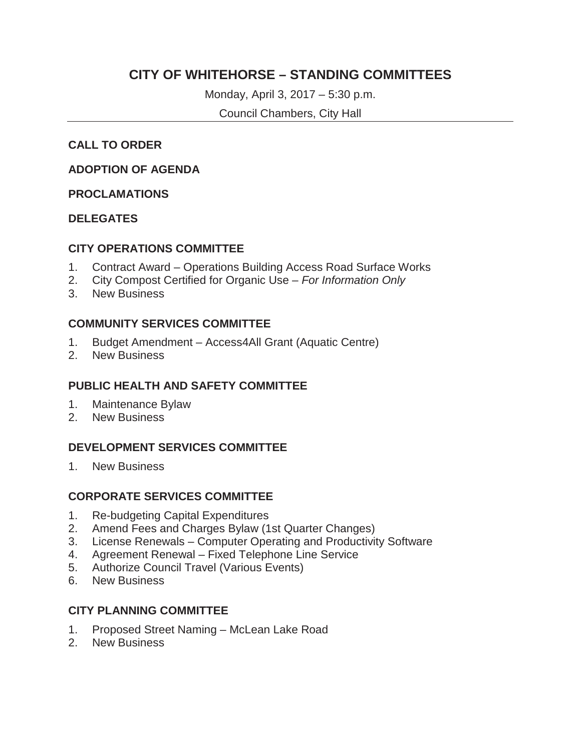## **CITY OF WHITEHORSE – STANDING COMMITTEES**

Monday, April 3, 2017 – 5:30 p.m.

Council Chambers, City Hall

### **CALL TO ORDER**

#### **ADOPTION OF AGENDA**

#### **PROCLAMATIONS**

#### **DELEGATES**

#### **CITY OPERATIONS COMMITTEE**

- 1. Contract Award Operations Building Access Road Surface Works
- 2. City Compost Certified for Organic Use *For Information Only*
- 3. New Business

#### **COMMUNITY SERVICES COMMITTEE**

- 1. Budget Amendment Access4All Grant (Aquatic Centre)
- 2. New Business

#### **PUBLIC HEALTH AND SAFETY COMMITTEE**

- 1. Maintenance Bylaw
- 2. New Business

## **DEVELOPMENT SERVICES COMMITTEE**

1. New Business

#### **CORPORATE SERVICES COMMITTEE**

- 1. Re-budgeting Capital Expenditures
- 2. Amend Fees and Charges Bylaw (1st Quarter Changes)
- 3. License Renewals Computer Operating and Productivity Software
- 4. Agreement Renewal Fixed Telephone Line Service
- 5. Authorize Council Travel (Various Events)
- 6. New Business

#### **CITY PLANNING COMMITTEE**

- 1. Proposed Street Naming McLean Lake Road
- 2. New Business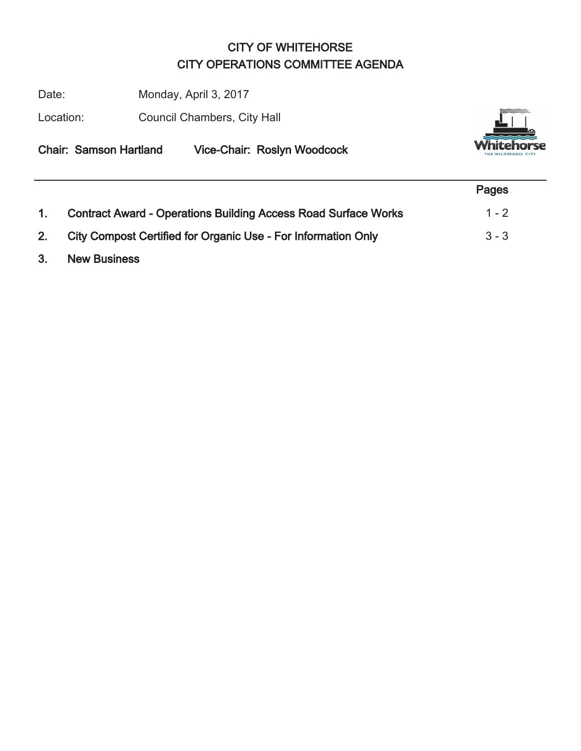## CITY OF WHITEHORSE CITY OPERATIONS COMMITTEE AGENDA

Date: Monday, April 3, 2017

Location: Council Chambers, City Hall



|--|

|    |                                                                       | Pages   |
|----|-----------------------------------------------------------------------|---------|
| 1. | <b>Contract Award - Operations Building Access Road Surface Works</b> | $1 - 2$ |
| 2. | City Compost Certified for Organic Use - For Information Only         | $3 - 3$ |
| 3. | <b>New Business</b>                                                   |         |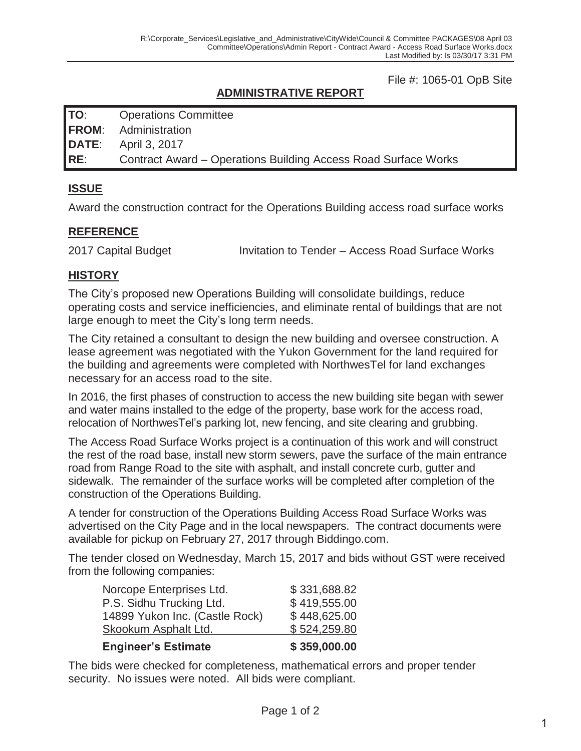File #: 1065-01 OpB Site

## **ADMINISTRATIVE REPORT**

**TO**: Operations Committee

**FROM**: Administration

**DATE**: April 3, 2017

**RE**: Contract Award – Operations Building Access Road Surface Works

## **ISSUE**

Award the construction contract for the Operations Building access road surface works

#### **REFERENCE**

2017 Capital Budget Invitation to Tender – Access Road Surface Works

#### **HISTORY**

The City's proposed new Operations Building will consolidate buildings, reduce operating costs and service inefficiencies, and eliminate rental of buildings that are not large enough to meet the City's long term needs.

The City retained a consultant to design the new building and oversee construction. A lease agreement was negotiated with the Yukon Government for the land required for the building and agreements were completed with NorthwesTel for land exchanges necessary for an access road to the site.

In 2016, the first phases of construction to access the new building site began with sewer and water mains installed to the edge of the property, base work for the access road, relocation of NorthwesTel's parking lot, new fencing, and site clearing and grubbing.

The Access Road Surface Works project is a continuation of this work and will construct the rest of the road base, install new storm sewers, pave the surface of the main entrance road from Range Road to the site with asphalt, and install concrete curb, gutter and sidewalk. The remainder of the surface works will be completed after completion of the construction of the Operations Building.

A tender for construction of the Operations Building Access Road Surface Works was advertised on the City Page and in the local newspapers. The contract documents were available for pickup on February 27, 2017 through Biddingo.com.

The tender closed on Wednesday, March 15, 2017 and bids without GST were received from the following companies:

| Skookum Asphalt Ltd.           | \$524,259.80 |
|--------------------------------|--------------|
| 14899 Yukon Inc. (Castle Rock) | \$448,625.00 |
| P.S. Sidhu Trucking Ltd.       | \$419,555.00 |
| Norcope Enterprises Ltd.       | \$331,688.82 |

#### **Engineer's Estimate \$ 359,000.00**

The bids were checked for completeness, mathematical errors and proper tender security. No issues were noted. All bids were compliant.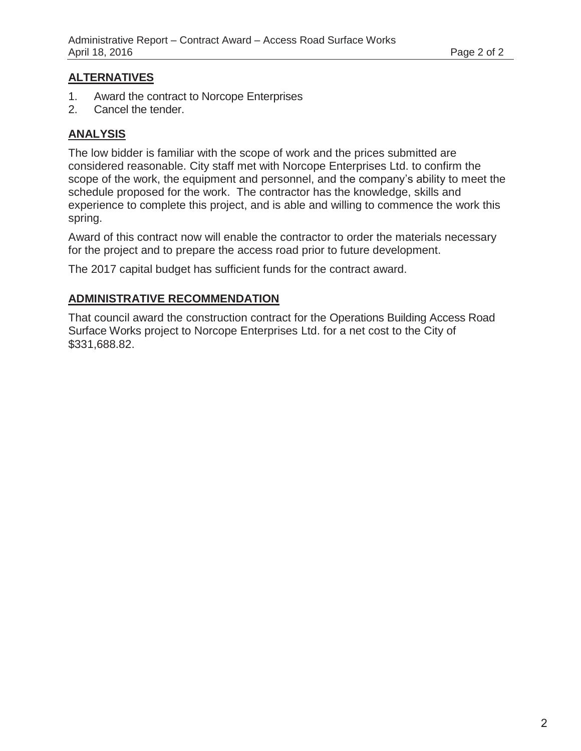#### **ALTERNATIVES**

- 1. Award the contract to Norcope Enterprises
- 2. Cancel the tender.

### **ANALYSIS**

The low bidder is familiar with the scope of work and the prices submitted are considered reasonable. City staff met with Norcope Enterprises Ltd. to confirm the scope of the work, the equipment and personnel, and the company's ability to meet the schedule proposed for the work. The contractor has the knowledge, skills and experience to complete this project, and is able and willing to commence the work this spring.

Award of this contract now will enable the contractor to order the materials necessary for the project and to prepare the access road prior to future development.

The 2017 capital budget has sufficient funds for the contract award.

### **ADMINISTRATIVE RECOMMENDATION**

That council award the construction contract for the Operations Building Access Road Surface Works project to Norcope Enterprises Ltd. for a net cost to the City of \$331,688.82.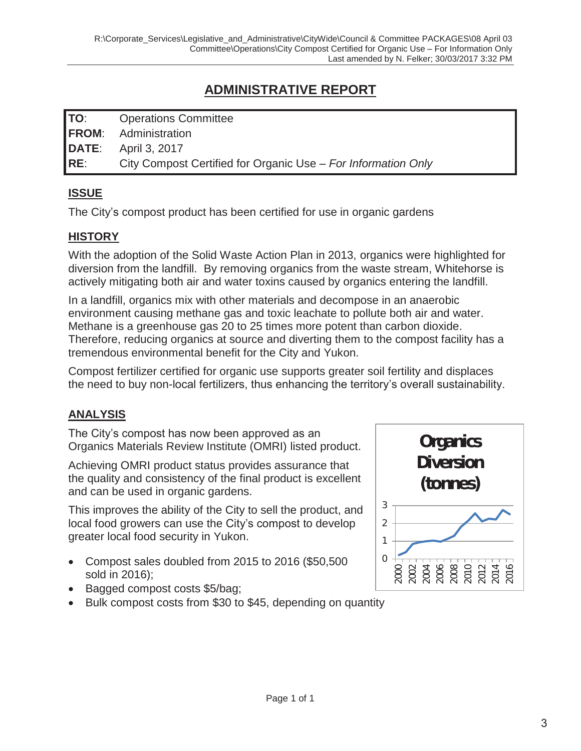## **ADMINISTRATIVE REPORT**

| TO: | <b>Operations Committee</b>                                   |
|-----|---------------------------------------------------------------|
|     | <b>FROM:</b> Administration                                   |
|     | <b>DATE:</b> April 3, 2017                                    |
| RE: | City Compost Certified for Organic Use - For Information Only |

## **ISSUE**

The City's compost product has been certified for use in organic gardens

## **HISTORY**

With the adoption of the Solid Waste Action Plan in 2013, organics were highlighted for diversion from the landfill. By removing organics from the waste stream, Whitehorse is actively mitigating both air and water toxins caused by organics entering the landfill.

In a landfill, organics mix with other materials and decompose in an anaerobic environment causing methane gas and toxic leachate to pollute both air and water. Methane is a greenhouse gas 20 to 25 times more potent than carbon dioxide. Therefore, reducing organics at source and diverting them to the compost facility has a tremendous environmental benefit for the City and Yukon.

Compost fertilizer certified for organic use supports greater soil fertility and displaces the need to buy non-local fertilizers, thus enhancing the territory's overall sustainability.

## **ANALYSIS**

The City's compost has now been approved as an Organics Materials Review Institute (OMRI) listed product.

Achieving OMRI product status provides assurance that the quality and consistency of the final product is excellent and can be used in organic gardens.

This improves the ability of the City to sell the product, and local food growers can use the City's compost to develop greater local food security in Yukon.

- Compost sales doubled from 2015 to 2016 (\$50,500 sold in 2016);
- Bagged compost costs \$5/bag;
- Bulk compost costs from \$30 to \$45, depending on quantity

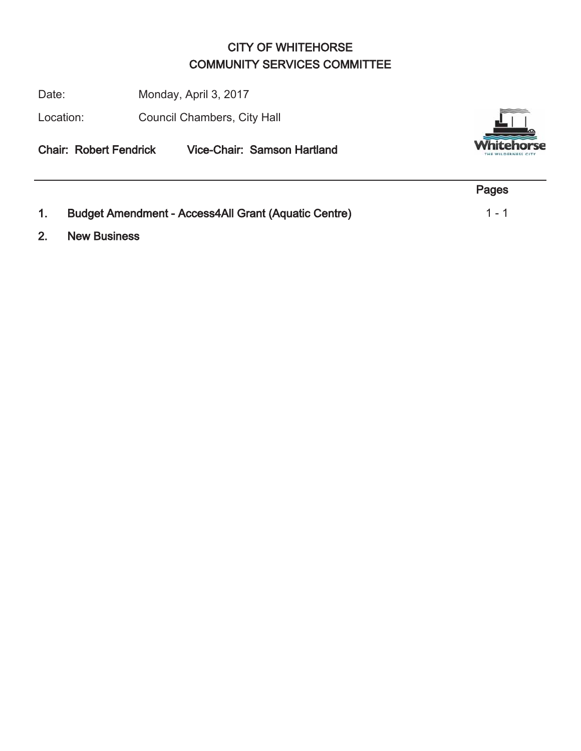## CITY OF WHITEHORSE COMMUNITY SERVICES COMMITTEE

Date: Monday, April 3, 2017

Location: Council Chambers, City Hall

Chair: Robert Fendrick Vice-Chair: Samson Hartland



|                                                             | Pages   |
|-------------------------------------------------------------|---------|
| <b>Budget Amendment - Access4All Grant (Aquatic Centre)</b> | $1 - 1$ |

2. New Business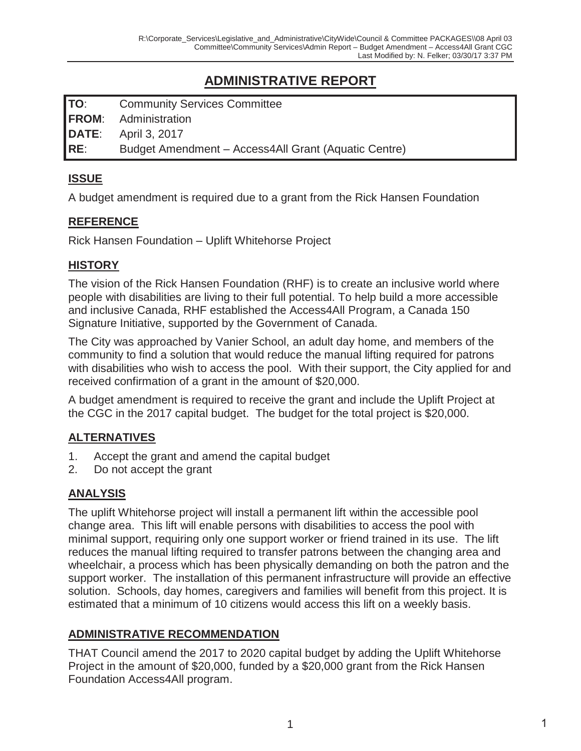## **ADMINISTRATIVE REPORT**

**TO**: Community Services Committee **FROM**: Administration **DATE**: April 3, 2017 **RE**: Budget Amendment – Access4All Grant (Aquatic Centre)

#### **ISSUE**

A budget amendment is required due to a grant from the Rick Hansen Foundation

#### **REFERENCE**

Rick Hansen Foundation – Uplift Whitehorse Project

#### **HISTORY**

The vision of the Rick Hansen Foundation (RHF) is to create an inclusive world where people with disabilities are living to their full potential. To help build a more accessible and inclusive Canada, RHF established the Access4All Program, a Canada 150 Signature Initiative, supported by the Government of Canada.

The City was approached by Vanier School, an adult day home, and members of the community to find a solution that would reduce the manual lifting required for patrons with disabilities who wish to access the pool. With their support, the City applied for and received confirmation of a grant in the amount of \$20,000.

A budget amendment is required to receive the grant and include the Uplift Project at the CGC in the 2017 capital budget. The budget for the total project is \$20,000.

## **ALTERNATIVES**

- 1. Accept the grant and amend the capital budget
- 2. Do not accept the grant

## **ANALYSIS**

The uplift Whitehorse project will install a permanent lift within the accessible pool change area. This lift will enable persons with disabilities to access the pool with minimal support, requiring only one support worker or friend trained in its use. The lift reduces the manual lifting required to transfer patrons between the changing area and wheelchair, a process which has been physically demanding on both the patron and the support worker. The installation of this permanent infrastructure will provide an effective solution. Schools, day homes, caregivers and families will benefit from this project. It is estimated that a minimum of 10 citizens would access this lift on a weekly basis.

#### **ADMINISTRATIVE RECOMMENDATION**

THAT Council amend the 2017 to 2020 capital budget by adding the Uplift Whitehorse Project in the amount of \$20,000, funded by a \$20,000 grant from the Rick Hansen Foundation Access4All program.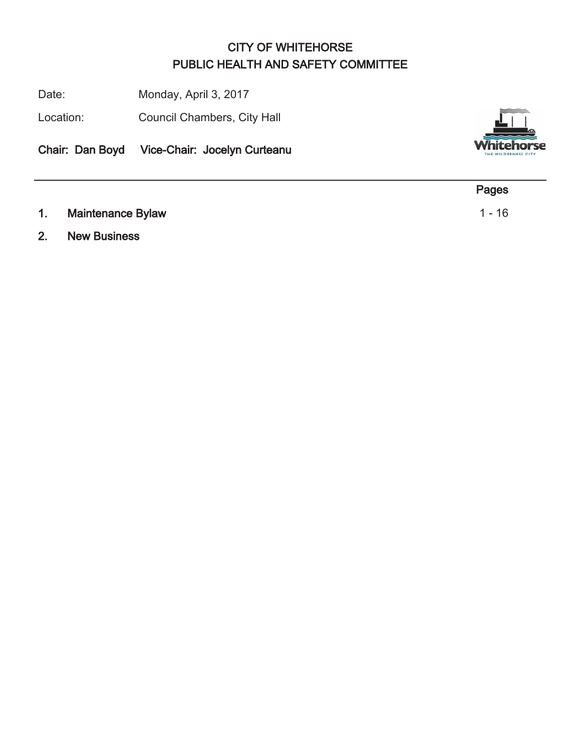## CITY OF WHITEHORSE PUBLIC HEALTH AND SAFETY COMMITTEE

Date: Monday, April 3, 2017

Location: Council Chambers, City Hall

Chair: Dan Boyd Vice-Chair: Jocelyn Curteanu



2. New Business

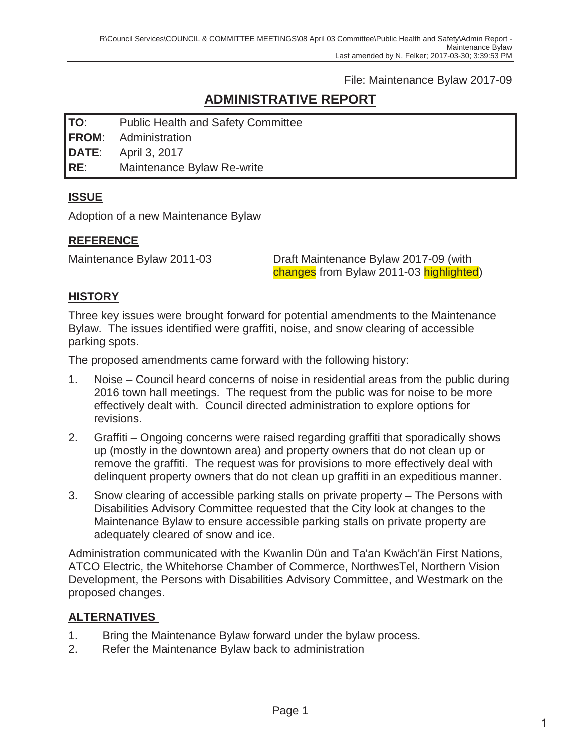File: Maintenance Bylaw 2017-09

## **ADMINISTRATIVE REPORT**

**TO**: Public Health and Safety Committee

**FROM**: Administration

**DATE**: April 3, 2017

**RE**: Maintenance Bylaw Re-write

## **ISSUE**

Adoption of a new Maintenance Bylaw

## **REFERENCE**

Maintenance Bylaw 2011-03 Draft Maintenance Bylaw 2017-09 (with changes from Bylaw 2011-03 highlighted)

## **HISTORY**

Three key issues were brought forward for potential amendments to the Maintenance Bylaw. The issues identified were graffiti, noise, and snow clearing of accessible parking spots.

The proposed amendments came forward with the following history:

- 1. Noise Council heard concerns of noise in residential areas from the public during 2016 town hall meetings. The request from the public was for noise to be more effectively dealt with. Council directed administration to explore options for revisions.
- 2. Graffiti Ongoing concerns were raised regarding graffiti that sporadically shows up (mostly in the downtown area) and property owners that do not clean up or remove the graffiti. The request was for provisions to more effectively deal with delinquent property owners that do not clean up graffiti in an expeditious manner.
- 3. Snow clearing of accessible parking stalls on private property The Persons with Disabilities Advisory Committee requested that the City look at changes to the Maintenance Bylaw to ensure accessible parking stalls on private property are adequately cleared of snow and ice.

Administration communicated with the Kwanlin Dün and Ta'an Kwäch'än First Nations, ATCO Electric, the Whitehorse Chamber of Commerce, NorthwesTel, Northern Vision Development, the Persons with Disabilities Advisory Committee, and Westmark on the proposed changes.

## **ALTERNATIVES**

- 1. Bring the Maintenance Bylaw forward under the bylaw process.
- 2. Refer the Maintenance Bylaw back to administration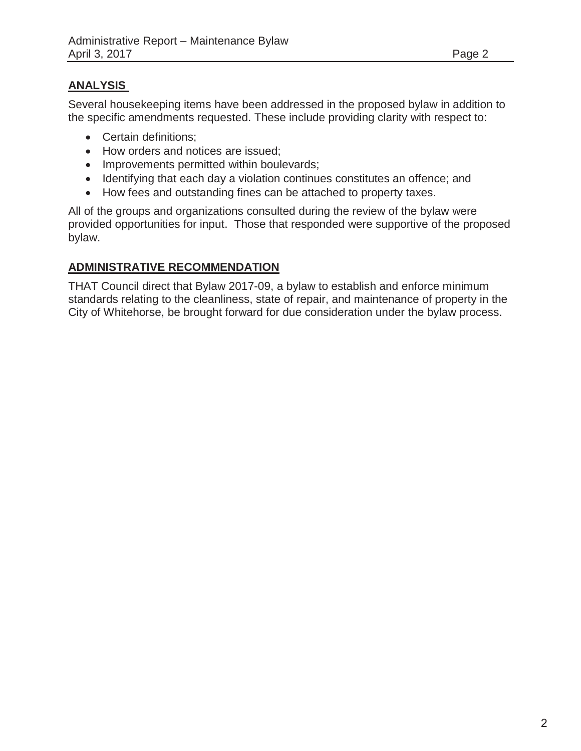### **ANALYSIS**

Several housekeeping items have been addressed in the proposed bylaw in addition to the specific amendments requested. These include providing clarity with respect to:

- Certain definitions:
- How orders and notices are issued;
- Improvements permitted within boulevards;
- Identifying that each day a violation continues constitutes an offence; and
- How fees and outstanding fines can be attached to property taxes.

All of the groups and organizations consulted during the review of the bylaw were provided opportunities for input. Those that responded were supportive of the proposed bylaw.

#### **ADMINISTRATIVE RECOMMENDATION**

THAT Council direct that Bylaw 2017-09, a bylaw to establish and enforce minimum standards relating to the cleanliness, state of repair, and maintenance of property in the City of Whitehorse, be brought forward for due consideration under the bylaw process.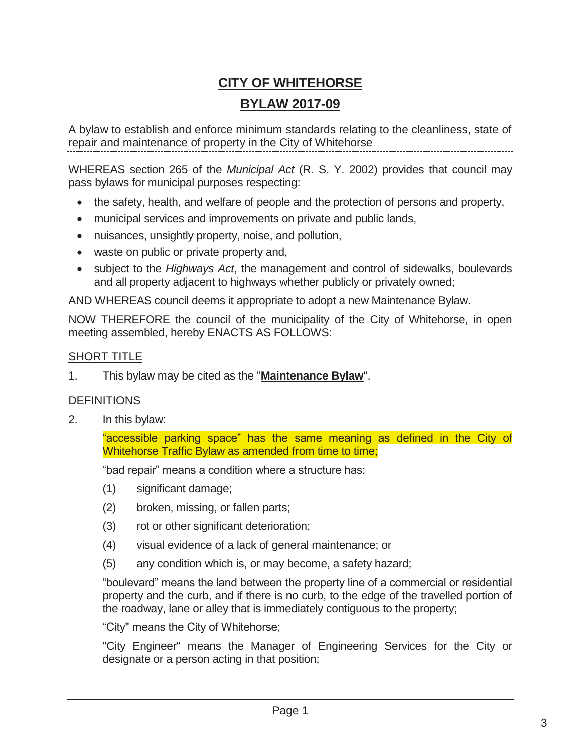## **CITY OF WHITEHORSE BYLAW 2017-09**

A bylaw to establish and enforce minimum standards relating to the cleanliness, state of repair and maintenance of property in the City of Whitehorse

WHEREAS section 265 of the *Municipal Act* (R. S. Y. 2002) provides that council may pass bylaws for municipal purposes respecting:

- the safety, health, and welfare of people and the protection of persons and property,
- municipal services and improvements on private and public lands,
- nuisances, unsightly property, noise, and pollution,
- waste on public or private property and,
- subject to the *Highways Act*, the management and control of sidewalks, boulevards and all property adjacent to highways whether publicly or privately owned;

AND WHEREAS council deems it appropriate to adopt a new Maintenance Bylaw.

NOW THEREFORE the council of the municipality of the City of Whitehorse, in open meeting assembled, hereby ENACTS AS FOLLOWS:

#### SHORT TITLE

1. This bylaw may be cited as the "**Maintenance Bylaw**".

#### **DEFINITIONS**

2. In this bylaw:

"accessible parking space" has the same meaning as defined in the City of Whitehorse Traffic Bylaw as amended from time to time;

"bad repair" means a condition where a structure has:

- (1) significant damage;
- (2) broken, missing, or fallen parts;
- (3) rot or other significant deterioration;
- (4) visual evidence of a lack of general maintenance; or
- (5) any condition which is, or may become, a safety hazard;

"boulevard" means the land between the property line of a commercial or residential property and the curb, and if there is no curb, to the edge of the travelled portion of the roadway, lane or alley that is immediately contiguous to the property;

"City" means the City of Whitehorse;

"City Engineer" means the Manager of Engineering Services for the City or designate or a person acting in that position;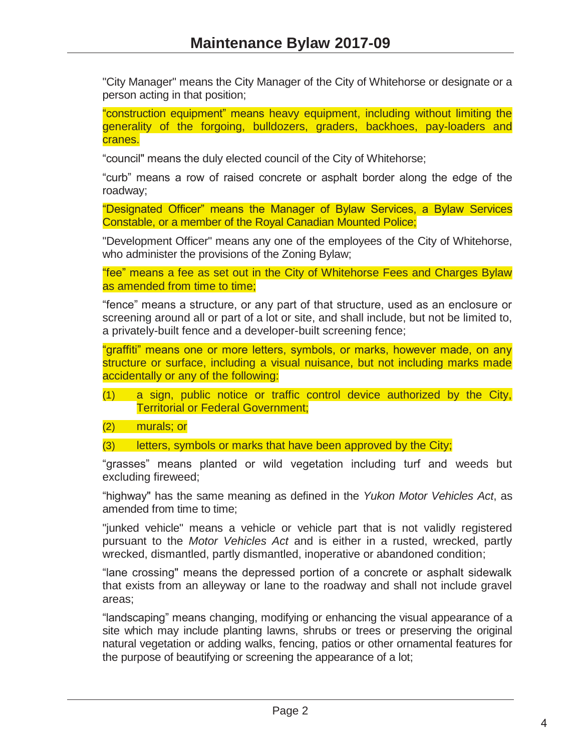"City Manager" means the City Manager of the City of Whitehorse or designate or a person acting in that position;

"construction equipment" means heavy equipment, including without limiting the generality of the forgoing, bulldozers, graders, backhoes, pay-loaders and cranes.

"council" means the duly elected council of the City of Whitehorse;

"curb" means a row of raised concrete or asphalt border along the edge of the roadway;

"Designated Officer" means the Manager of Bylaw Services, a Bylaw Services Constable, or a member of the Royal Canadian Mounted Police;

"Development Officer" means any one of the employees of the City of Whitehorse, who administer the provisions of the Zoning Bylaw;

"fee" means a fee as set out in the City of Whitehorse Fees and Charges Bylaw as amended from time to time;

"fence" means a structure, or any part of that structure, used as an enclosure or screening around all or part of a lot or site, and shall include, but not be limited to, a privately-built fence and a developer-built screening fence;

"graffiti" means one or more letters, symbols, or marks, however made, on any structure or surface, including a visual nuisance, but not including marks made accidentally or any of the following:

(1) a sign, public notice or traffic control device authorized by the City, Territorial or Federal Government;

(2) murals; or

(3) letters, symbols or marks that have been approved by the City;

"grasses" means planted or wild vegetation including turf and weeds but excluding fireweed;

"highway" has the same meaning as defined in the *Yukon Motor Vehicles Act*, as amended from time to time;

"junked vehicle" means a vehicle or vehicle part that is not validly registered pursuant to the *Motor Vehicles Act* and is either in a rusted, wrecked, partly wrecked, dismantled, partly dismantled, inoperative or abandoned condition;

"lane crossing" means the depressed portion of a concrete or asphalt sidewalk that exists from an alleyway or lane to the roadway and shall not include gravel areas;

"landscaping" means changing, modifying or enhancing the visual appearance of a site which may include planting lawns, shrubs or trees or preserving the original natural vegetation or adding walks, fencing, patios or other ornamental features for the purpose of beautifying or screening the appearance of a lot;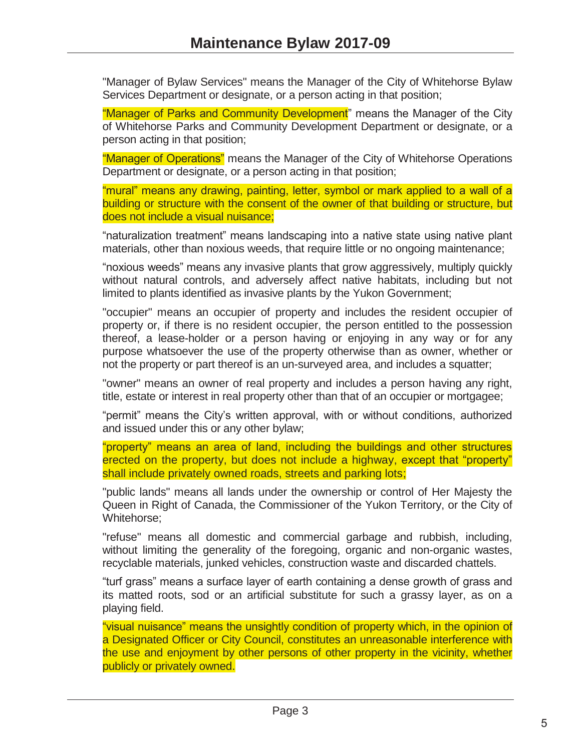"Manager of Bylaw Services" means the Manager of the City of Whitehorse Bylaw Services Department or designate, or a person acting in that position;

"Manager of Parks and Community Development" means the Manager of the City of Whitehorse Parks and Community Development Department or designate, or a person acting in that position;

"Manager of Operations" means the Manager of the City of Whitehorse Operations Department or designate, or a person acting in that position;

"mural" means any drawing, painting, letter, symbol or mark applied to a wall of a building or structure with the consent of the owner of that building or structure, but does not include a visual nuisance;

"naturalization treatment" means landscaping into a native state using native plant materials, other than noxious weeds, that require little or no ongoing maintenance;

"noxious weeds" means any invasive plants that grow aggressively, multiply quickly without natural controls, and adversely affect native habitats, including but not limited to plants identified as invasive plants by the Yukon Government;

"occupier" means an occupier of property and includes the resident occupier of property or, if there is no resident occupier, the person entitled to the possession thereof, a lease-holder or a person having or enjoying in any way or for any purpose whatsoever the use of the property otherwise than as owner, whether or not the property or part thereof is an un-surveyed area, and includes a squatter;

"owner" means an owner of real property and includes a person having any right, title, estate or interest in real property other than that of an occupier or mortgagee;

"permit" means the City's written approval, with or without conditions, authorized and issued under this or any other bylaw;

"property" means an area of land, including the buildings and other structures erected on the property, but does not include a highway, except that "property" shall include privately owned roads, streets and parking lots;

"public lands" means all lands under the ownership or control of Her Majesty the Queen in Right of Canada, the Commissioner of the Yukon Territory, or the City of Whitehorse;

"refuse" means all domestic and commercial garbage and rubbish, including, without limiting the generality of the foregoing, organic and non-organic wastes, recyclable materials, junked vehicles, construction waste and discarded chattels.

"turf grass" means a surface layer of earth containing a dense growth of grass and its matted roots, sod or an artificial substitute for such a grassy layer, as on a playing field.

"visual nuisance" means the unsightly condition of property which, in the opinion of a Designated Officer or City Council, constitutes an unreasonable interference with the use and enjoyment by other persons of other property in the vicinity, whether publicly or privately owned.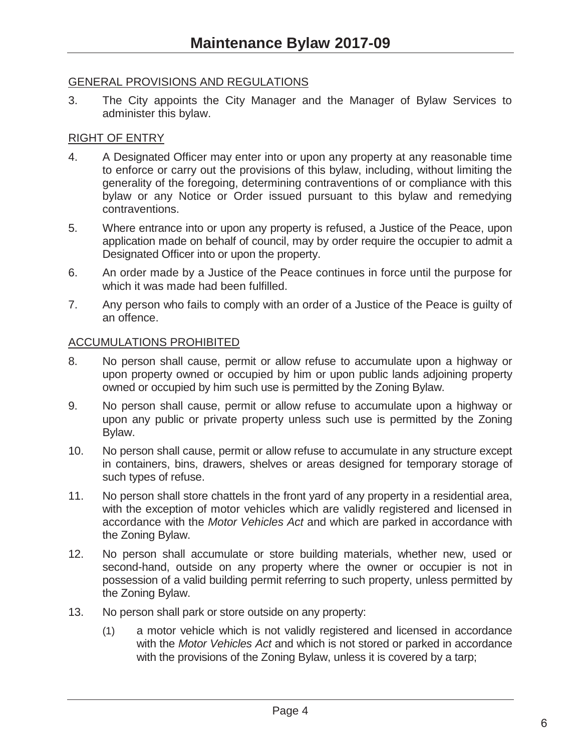#### GENERAL PROVISIONS AND REGULATIONS

3. The City appoints the City Manager and the Manager of Bylaw Services to administer this bylaw.

#### RIGHT OF ENTRY

- 4. A Designated Officer may enter into or upon any property at any reasonable time to enforce or carry out the provisions of this bylaw, including, without limiting the generality of the foregoing, determining contraventions of or compliance with this bylaw or any Notice or Order issued pursuant to this bylaw and remedying contraventions.
- 5. Where entrance into or upon any property is refused, a Justice of the Peace, upon application made on behalf of council, may by order require the occupier to admit a Designated Officer into or upon the property.
- 6. An order made by a Justice of the Peace continues in force until the purpose for which it was made had been fulfilled.
- 7. Any person who fails to comply with an order of a Justice of the Peace is guilty of an offence.

#### ACCUMULATIONS PROHIBITED

- 8. No person shall cause, permit or allow refuse to accumulate upon a highway or upon property owned or occupied by him or upon public lands adjoining property owned or occupied by him such use is permitted by the Zoning Bylaw.
- 9. No person shall cause, permit or allow refuse to accumulate upon a highway or upon any public or private property unless such use is permitted by the Zoning Bylaw.
- 10. No person shall cause, permit or allow refuse to accumulate in any structure except in containers, bins, drawers, shelves or areas designed for temporary storage of such types of refuse.
- 11. No person shall store chattels in the front yard of any property in a residential area, with the exception of motor vehicles which are validly registered and licensed in accordance with the *Motor Vehicles Act* and which are parked in accordance with the Zoning Bylaw.
- 12. No person shall accumulate or store building materials, whether new, used or second-hand, outside on any property where the owner or occupier is not in possession of a valid building permit referring to such property, unless permitted by the Zoning Bylaw.
- 13. No person shall park or store outside on any property:
	- (1) a motor vehicle which is not validly registered and licensed in accordance with the *Motor Vehicles Act* and which is not stored or parked in accordance with the provisions of the Zoning Bylaw, unless it is covered by a tarp;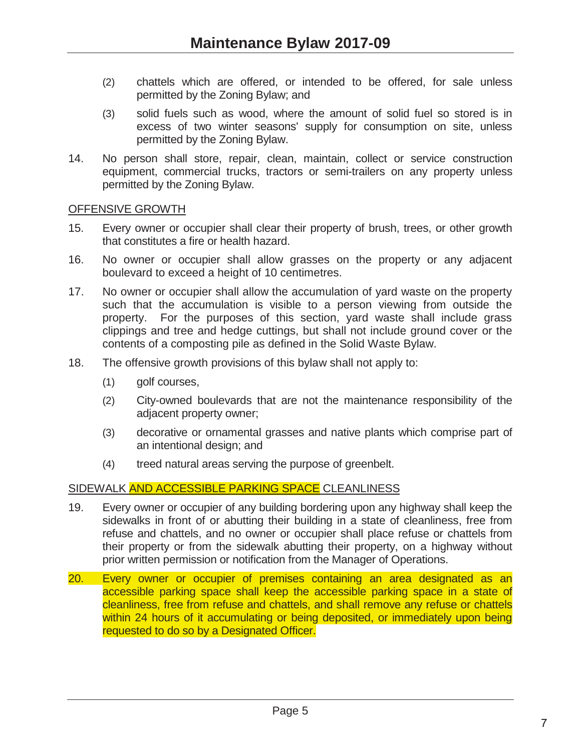- (2) chattels which are offered, or intended to be offered, for sale unless permitted by the Zoning Bylaw; and
- (3) solid fuels such as wood, where the amount of solid fuel so stored is in excess of two winter seasons' supply for consumption on site, unless permitted by the Zoning Bylaw.
- 14. No person shall store, repair, clean, maintain, collect or service construction equipment, commercial trucks, tractors or semi-trailers on any property unless permitted by the Zoning Bylaw.

#### OFFENSIVE GROWTH

- 15. Every owner or occupier shall clear their property of brush, trees, or other growth that constitutes a fire or health hazard.
- 16. No owner or occupier shall allow grasses on the property or any adjacent boulevard to exceed a height of 10 centimetres.
- 17. No owner or occupier shall allow the accumulation of yard waste on the property such that the accumulation is visible to a person viewing from outside the property. For the purposes of this section, yard waste shall include grass clippings and tree and hedge cuttings, but shall not include ground cover or the contents of a composting pile as defined in the Solid Waste Bylaw.
- 18. The offensive growth provisions of this bylaw shall not apply to:
	- (1) golf courses,
	- (2) City-owned boulevards that are not the maintenance responsibility of the adjacent property owner;
	- (3) decorative or ornamental grasses and native plants which comprise part of an intentional design; and
	- (4) treed natural areas serving the purpose of greenbelt.

#### SIDEWALK AND ACCESSIBLE PARKING SPACE CLEANLINESS

- 19. Every owner or occupier of any building bordering upon any highway shall keep the sidewalks in front of or abutting their building in a state of cleanliness, free from refuse and chattels, and no owner or occupier shall place refuse or chattels from their property or from the sidewalk abutting their property, on a highway without prior written permission or notification from the Manager of Operations.
- 20. Every owner or occupier of premises containing an area designated as an accessible parking space shall keep the accessible parking space in a state of cleanliness, free from refuse and chattels, and shall remove any refuse or chattels within 24 hours of it accumulating or being deposited, or immediately upon being requested to do so by a Designated Officer.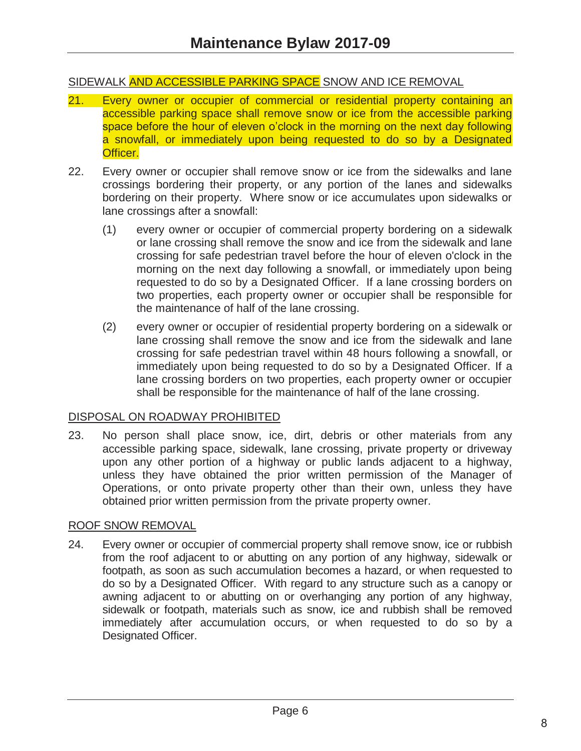#### SIDEWALK AND ACCESSIBLE PARKING SPACE SNOW AND ICE REMOVAL

- 21. Every owner or occupier of commercial or residential property containing an accessible parking space shall remove snow or ice from the accessible parking space before the hour of eleven o'clock in the morning on the next day following a snowfall, or immediately upon being requested to do so by a Designated Officer.
- 22. Every owner or occupier shall remove snow or ice from the sidewalks and lane crossings bordering their property, or any portion of the lanes and sidewalks bordering on their property. Where snow or ice accumulates upon sidewalks or lane crossings after a snowfall:
	- (1) every owner or occupier of commercial property bordering on a sidewalk or lane crossing shall remove the snow and ice from the sidewalk and lane crossing for safe pedestrian travel before the hour of eleven o'clock in the morning on the next day following a snowfall, or immediately upon being requested to do so by a Designated Officer. If a lane crossing borders on two properties, each property owner or occupier shall be responsible for the maintenance of half of the lane crossing.
	- (2) every owner or occupier of residential property bordering on a sidewalk or lane crossing shall remove the snow and ice from the sidewalk and lane crossing for safe pedestrian travel within 48 hours following a snowfall, or immediately upon being requested to do so by a Designated Officer. If a lane crossing borders on two properties, each property owner or occupier shall be responsible for the maintenance of half of the lane crossing.

#### DISPOSAL ON ROADWAY PROHIBITED

23. No person shall place snow, ice, dirt, debris or other materials from any accessible parking space, sidewalk, lane crossing, private property or driveway upon any other portion of a highway or public lands adjacent to a highway, unless they have obtained the prior written permission of the Manager of Operations, or onto private property other than their own, unless they have obtained prior written permission from the private property owner.

#### ROOF SNOW REMOVAL

24. Every owner or occupier of commercial property shall remove snow, ice or rubbish from the roof adjacent to or abutting on any portion of any highway, sidewalk or footpath, as soon as such accumulation becomes a hazard, or when requested to do so by a Designated Officer. With regard to any structure such as a canopy or awning adjacent to or abutting on or overhanging any portion of any highway, sidewalk or footpath, materials such as snow, ice and rubbish shall be removed immediately after accumulation occurs, or when requested to do so by a Designated Officer.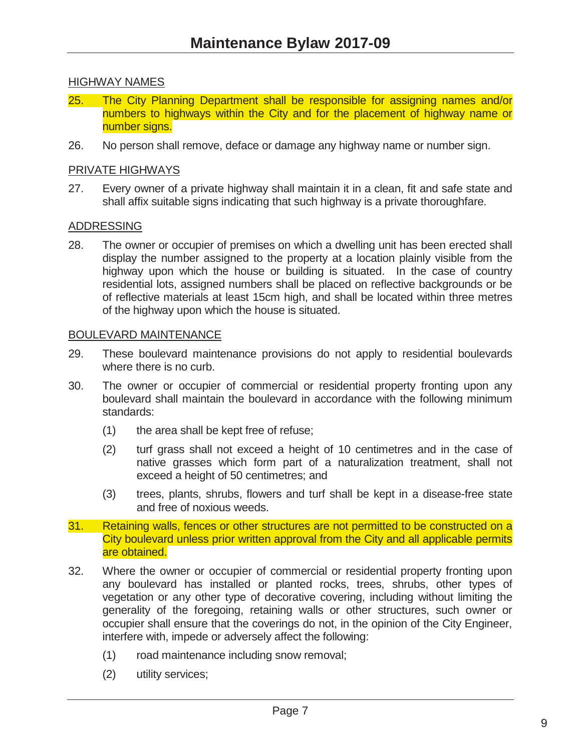#### HIGHWAY NAMES

- 25. The City Planning Department shall be responsible for assigning names and/or numbers to highways within the City and for the placement of highway name or number signs.
- 26. No person shall remove, deface or damage any highway name or number sign.

#### PRIVATE HIGHWAYS

27. Every owner of a private highway shall maintain it in a clean, fit and safe state and shall affix suitable signs indicating that such highway is a private thoroughfare.

#### ADDRESSING

28. The owner or occupier of premises on which a dwelling unit has been erected shall display the number assigned to the property at a location plainly visible from the highway upon which the house or building is situated. In the case of country residential lots, assigned numbers shall be placed on reflective backgrounds or be of reflective materials at least 15cm high, and shall be located within three metres of the highway upon which the house is situated.

#### BOULEVARD MAINTENANCE

- 29. These boulevard maintenance provisions do not apply to residential boulevards where there is no curb.
- 30. The owner or occupier of commercial or residential property fronting upon any boulevard shall maintain the boulevard in accordance with the following minimum standards:
	- (1) the area shall be kept free of refuse;
	- (2) turf grass shall not exceed a height of 10 centimetres and in the case of native grasses which form part of a naturalization treatment, shall not exceed a height of 50 centimetres; and
	- (3) trees, plants, shrubs, flowers and turf shall be kept in a disease-free state and free of noxious weeds.
- 31. Retaining walls, fences or other structures are not permitted to be constructed on a City boulevard unless prior written approval from the City and all applicable permits are obtained.
- 32. Where the owner or occupier of commercial or residential property fronting upon any boulevard has installed or planted rocks, trees, shrubs, other types of vegetation or any other type of decorative covering, including without limiting the generality of the foregoing, retaining walls or other structures, such owner or occupier shall ensure that the coverings do not, in the opinion of the City Engineer, interfere with, impede or adversely affect the following:
	- (1) road maintenance including snow removal;
	- (2) utility services;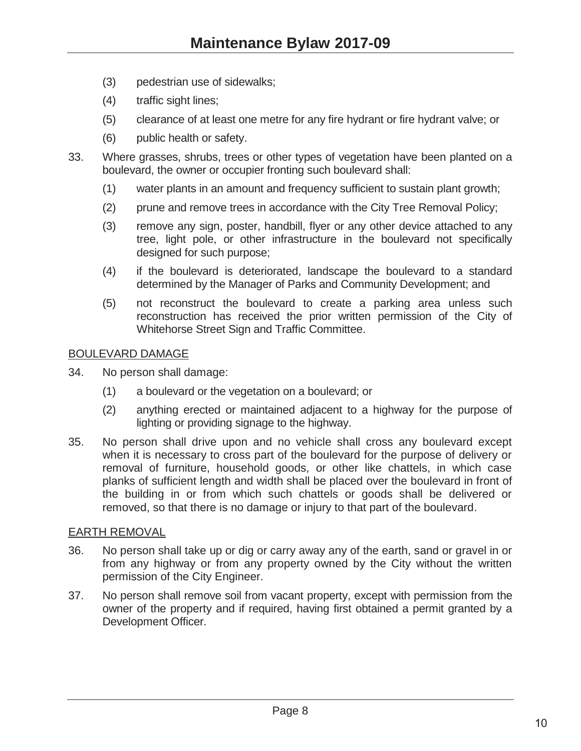- (3) pedestrian use of sidewalks;
- (4) traffic sight lines;
- (5) clearance of at least one metre for any fire hydrant or fire hydrant valve; or
- (6) public health or safety.
- 33. Where grasses, shrubs, trees or other types of vegetation have been planted on a boulevard, the owner or occupier fronting such boulevard shall:
	- (1) water plants in an amount and frequency sufficient to sustain plant growth;
	- (2) prune and remove trees in accordance with the City Tree Removal Policy;
	- (3) remove any sign, poster, handbill, flyer or any other device attached to any tree, light pole, or other infrastructure in the boulevard not specifically designed for such purpose;
	- (4) if the boulevard is deteriorated, landscape the boulevard to a standard determined by the Manager of Parks and Community Development; and
	- (5) not reconstruct the boulevard to create a parking area unless such reconstruction has received the prior written permission of the City of Whitehorse Street Sign and Traffic Committee.

#### BOULEVARD DAMAGE

- 34. No person shall damage:
	- (1) a boulevard or the vegetation on a boulevard; or
	- (2) anything erected or maintained adjacent to a highway for the purpose of lighting or providing signage to the highway.
- 35. No person shall drive upon and no vehicle shall cross any boulevard except when it is necessary to cross part of the boulevard for the purpose of delivery or removal of furniture, household goods, or other like chattels, in which case planks of sufficient length and width shall be placed over the boulevard in front of the building in or from which such chattels or goods shall be delivered or removed, so that there is no damage or injury to that part of the boulevard.

#### EARTH REMOVAL

- 36. No person shall take up or dig or carry away any of the earth, sand or gravel in or from any highway or from any property owned by the City without the written permission of the City Engineer.
- 37. No person shall remove soil from vacant property, except with permission from the owner of the property and if required, having first obtained a permit granted by a Development Officer.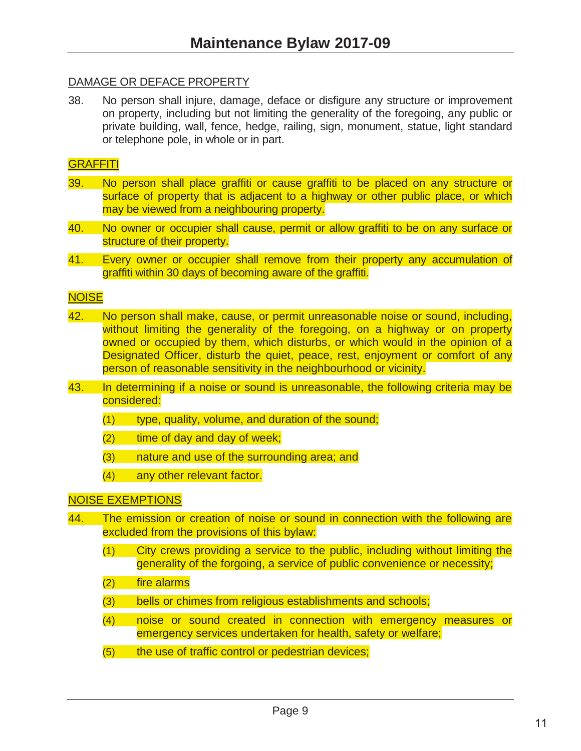#### DAMAGE OR DEFACE PROPERTY

38. No person shall injure, damage, deface or disfigure any structure or improvement on property, including but not limiting the generality of the foregoing, any public or private building, wall, fence, hedge, railing, sign, monument, statue, light standard or telephone pole, in whole or in part.

#### **GRAFFITI**

- 39. No person shall place graffiti or cause graffiti to be placed on any structure or surface of property that is adjacent to a highway or other public place, or which may be viewed from a neighbouring property.
- 40. No owner or occupier shall cause, permit or allow graffiti to be on any surface or structure of their property.
- 41. Every owner or occupier shall remove from their property any accumulation of graffiti within 30 days of becoming aware of the graffiti.

#### **NOISE**

- 42. No person shall make, cause, or permit unreasonable noise or sound, including, without limiting the generality of the foregoing, on a highway or on property owned or occupied by them, which disturbs, or which would in the opinion of a Designated Officer, disturb the quiet, peace, rest, enjoyment or comfort of any person of reasonable sensitivity in the neighbourhood or vicinity.
- 43. In determining if a noise or sound is unreasonable, the following criteria may be considered:
	- $(1)$  type, quality, volume, and duration of the sound;
	- (2) time of day and day of week;
	- (3) nature and use of the surrounding area; and
	- (4) any other relevant factor.

#### NOISE EXEMPTIONS

- 44. The emission or creation of noise or sound in connection with the following are excluded from the provisions of this bylaw:
	- (1) City crews providing a service to the public, including without limiting the generality of the forgoing, a service of public convenience or necessity;
	- (2) fire alarms
	- (3) bells or chimes from religious establishments and schools;
	- (4) noise or sound created in connection with emergency measures or emergency services undertaken for health, safety or welfare;
	- (5) the use of traffic control or pedestrian devices;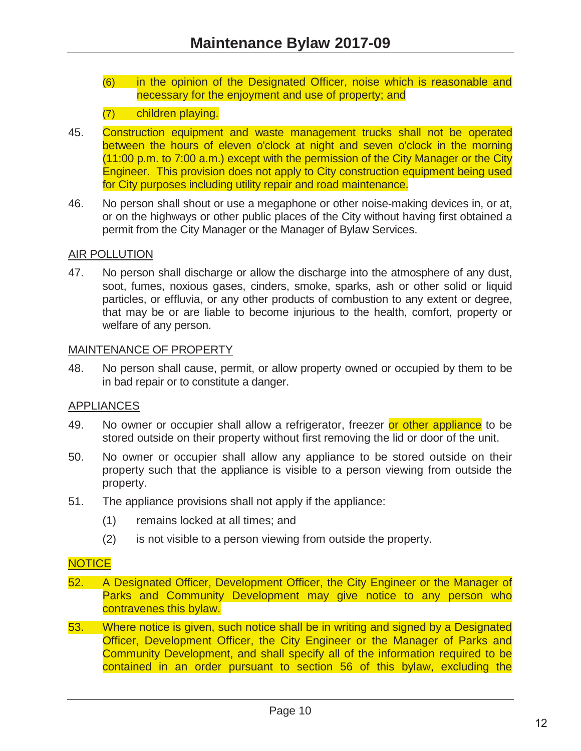(6) in the opinion of the Designated Officer, noise which is reasonable and necessary for the enjoyment and use of property; and

#### (7) children playing.

- 45. Construction equipment and waste management trucks shall not be operated between the hours of eleven o'clock at night and seven o'clock in the morning (11:00 p.m. to 7:00 a.m.) except with the permission of the City Manager or the City Engineer. This provision does not apply to City construction equipment being used for City purposes including utility repair and road maintenance.
- 46. No person shall shout or use a megaphone or other noise-making devices in, or at, or on the highways or other public places of the City without having first obtained a permit from the City Manager or the Manager of Bylaw Services.

#### AIR POLLUTION

47. No person shall discharge or allow the discharge into the atmosphere of any dust, soot, fumes, noxious gases, cinders, smoke, sparks, ash or other solid or liquid particles, or effluvia, or any other products of combustion to any extent or degree, that may be or are liable to become injurious to the health, comfort, property or welfare of any person.

#### MAINTENANCE OF PROPERTY

48. No person shall cause, permit, or allow property owned or occupied by them to be in bad repair or to constitute a danger.

#### APPLIANCES

- 49. No owner or occupier shall allow a refrigerator, freezer or other appliance to be stored outside on their property without first removing the lid or door of the unit.
- 50. No owner or occupier shall allow any appliance to be stored outside on their property such that the appliance is visible to a person viewing from outside the property.
- 51. The appliance provisions shall not apply if the appliance:
	- (1) remains locked at all times; and
	- (2) is not visible to a person viewing from outside the property.

#### **NOTICE**

- 52. A Designated Officer, Development Officer, the City Engineer or the Manager of Parks and Community Development may give notice to any person who contravenes this bylaw.
- 53. Where notice is given, such notice shall be in writing and signed by a Designated Officer, Development Officer, the City Engineer or the Manager of Parks and Community Development, and shall specify all of the information required to be contained in an order pursuant to section 56 of this bylaw, excluding the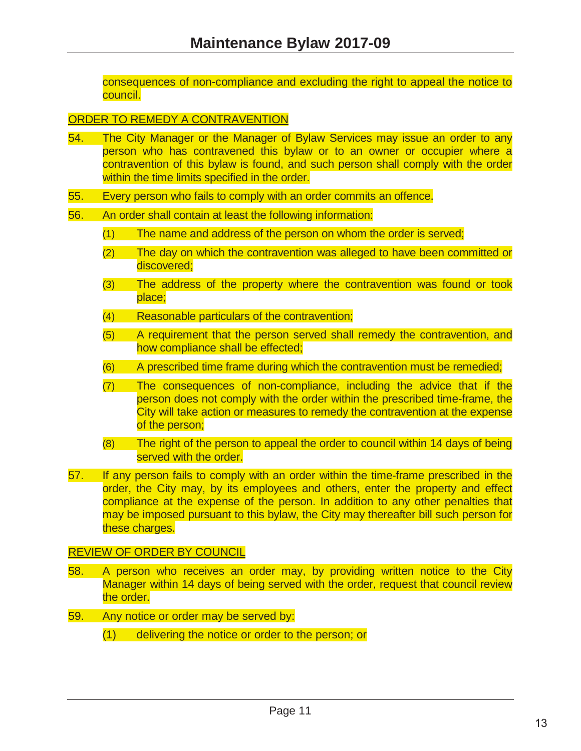consequences of non-compliance and excluding the right to appeal the notice to council.

#### ORDER TO REMEDY A CONTRAVENTION

- 54. The City Manager or the Manager of Bylaw Services may issue an order to any person who has contravened this bylaw or to an owner or occupier where a contravention of this bylaw is found, and such person shall comply with the order within the time limits specified in the order.
- 55. Every person who fails to comply with an order commits an offence.
- 56. An order shall contain at least the following information:
	- (1) The name and address of the person on whom the order is served;
	- (2) The day on which the contravention was alleged to have been committed or discovered;
	- (3) The address of the property where the contravention was found or took place;
	- (4) Reasonable particulars of the contravention;
	- (5) A requirement that the person served shall remedy the contravention, and how compliance shall be effected;
	- (6) A prescribed time frame during which the contravention must be remedied;
	- (7) The consequences of non-compliance, including the advice that if the person does not comply with the order within the prescribed time-frame, the City will take action or measures to remedy the contravention at the expense of the person;
	- (8) The right of the person to appeal the order to council within 14 days of being served with the order.
- 57. If any person fails to comply with an order within the time-frame prescribed in the order, the City may, by its employees and others, enter the property and effect compliance at the expense of the person. In addition to any other penalties that may be imposed pursuant to this bylaw, the City may thereafter bill such person for these charges.

#### REVIEW OF ORDER BY COUNCIL

- 58. A person who receives an order may, by providing written notice to the City Manager within 14 days of being served with the order, request that council review the order.
- 59. Any notice or order may be served by:
	- (1) delivering the notice or order to the person; or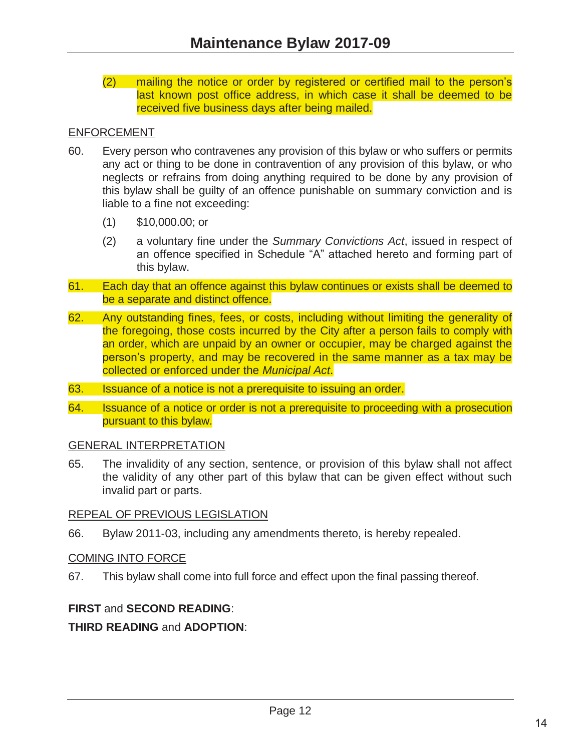(2) mailing the notice or order by registered or certified mail to the person's last known post office address, in which case it shall be deemed to be received five business days after being mailed.

#### ENFORCEMENT

- 60. Every person who contravenes any provision of this bylaw or who suffers or permits any act or thing to be done in contravention of any provision of this bylaw, or who neglects or refrains from doing anything required to be done by any provision of this bylaw shall be guilty of an offence punishable on summary conviction and is liable to a fine not exceeding:
	- (1) \$10,000.00; or
	- (2) a voluntary fine under the *Summary Convictions Act*, issued in respect of an offence specified in Schedule "A" attached hereto and forming part of this bylaw.
- 61. Each day that an offence against this bylaw continues or exists shall be deemed to be a separate and distinct offence.
- 62. Any outstanding fines, fees, or costs, including without limiting the generality of the foregoing, those costs incurred by the City after a person fails to comply with an order, which are unpaid by an owner or occupier, may be charged against the person's property, and may be recovered in the same manner as a tax may be collected or enforced under the *Municipal Act*.
- 63. Issuance of a notice is not a prerequisite to issuing an order.
- 64. Issuance of a notice or order is not a prerequisite to proceeding with a prosecution pursuant to this bylaw.

#### GENERAL INTERPRETATION

65. The invalidity of any section, sentence, or provision of this bylaw shall not affect the validity of any other part of this bylaw that can be given effect without such invalid part or parts.

#### REPEAL OF PREVIOUS LEGISLATION

66. Bylaw 2011-03, including any amendments thereto, is hereby repealed.

#### COMING INTO FORCE

67. This bylaw shall come into full force and effect upon the final passing thereof.

#### **FIRST** and **SECOND READING**:

#### **THIRD READING** and **ADOPTION**: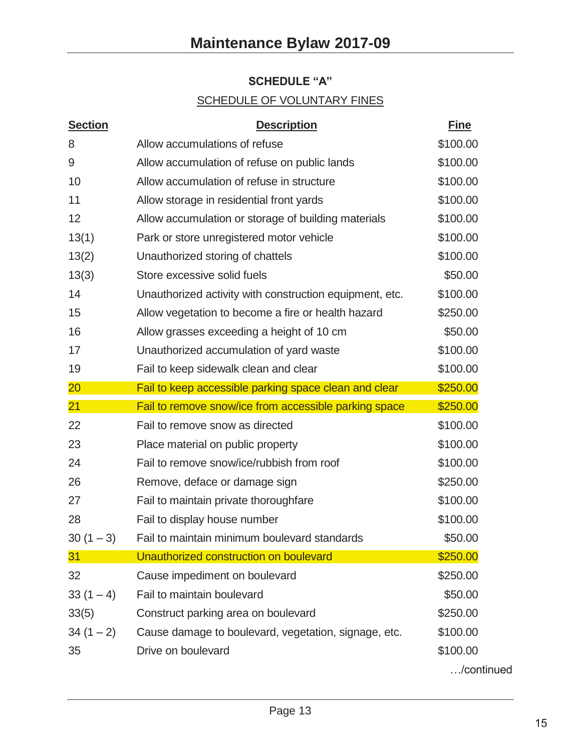## **SCHEDULE "A"**

## SCHEDULE OF VOLUNTARY FINES

| <b>Section</b> | <b>Description</b>                                      | <b>Fine</b> |
|----------------|---------------------------------------------------------|-------------|
| 8              | Allow accumulations of refuse                           | \$100.00    |
| 9              | Allow accumulation of refuse on public lands            | \$100.00    |
| 10             | Allow accumulation of refuse in structure               | \$100.00    |
| 11             | Allow storage in residential front yards                | \$100.00    |
| 12             | Allow accumulation or storage of building materials     | \$100.00    |
| 13(1)          | Park or store unregistered motor vehicle                | \$100.00    |
| 13(2)          | Unauthorized storing of chattels                        | \$100.00    |
| 13(3)          | Store excessive solid fuels                             | \$50.00     |
| 14             | Unauthorized activity with construction equipment, etc. | \$100.00    |
| 15             | Allow vegetation to become a fire or health hazard      | \$250.00    |
| 16             | Allow grasses exceeding a height of 10 cm               | \$50.00     |
| 17             | Unauthorized accumulation of yard waste                 | \$100.00    |
| 19             | Fail to keep sidewalk clean and clear                   | \$100.00    |
| $20\,$         | Fail to keep accessible parking space clean and clear   | \$250.00    |
| 21             | Fail to remove snow/ice from accessible parking space   | \$250.00    |
| 22             | Fail to remove snow as directed                         | \$100.00    |
| 23             | Place material on public property                       | \$100.00    |
| 24             | Fail to remove snow/ice/rubbish from roof               | \$100.00    |
| 26             | Remove, deface or damage sign                           | \$250.00    |
| 27             | Fail to maintain private thoroughfare                   | \$100.00    |
| 28             | Fail to display house number                            | \$100.00    |
| $30(1-3)$      | Fail to maintain minimum boulevard standards            | \$50.00     |
| 31             | Unauthorized construction on boulevard                  | \$250.00    |
| 32             | Cause impediment on boulevard                           | \$250.00    |
| $33(1-4)$      | Fail to maintain boulevard                              | \$50.00     |
| 33(5)          | Construct parking area on boulevard                     | \$250.00    |
| $34(1-2)$      | Cause damage to boulevard, vegetation, signage, etc.    | \$100.00    |
| 35             | Drive on boulevard                                      | \$100.00    |
|                |                                                         | /continued  |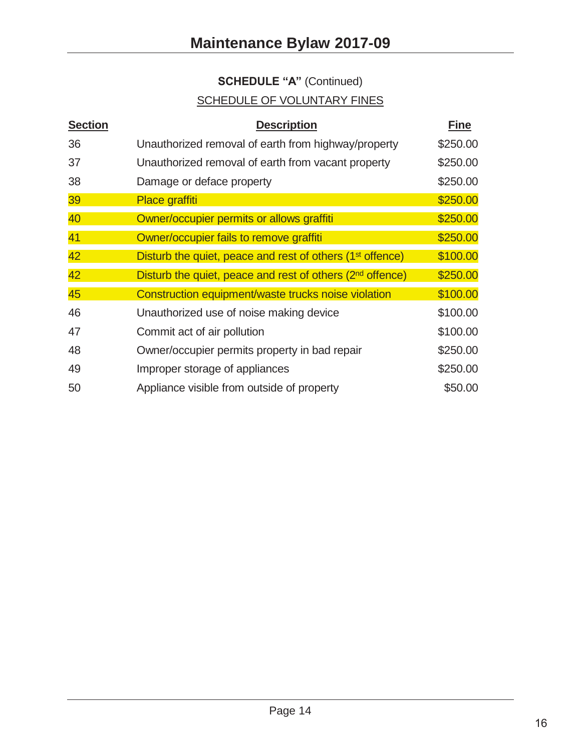# **SCHEDULE "A"** (Continued)

## SCHEDULE OF VOLUNTARY FINES

| <b>Section</b> | <b>Description</b>                                                    | <b>Fine</b> |
|----------------|-----------------------------------------------------------------------|-------------|
| 36             | Unauthorized removal of earth from highway/property                   | \$250.00    |
| 37             | Unauthorized removal of earth from vacant property                    | \$250.00    |
| 38             | Damage or deface property                                             | \$250.00    |
| 39             | Place graffiti                                                        | \$250.00    |
| 40             | Owner/occupier permits or allows graffiti                             | \$250.00    |
| 41             | Owner/occupier fails to remove graffiti                               | \$250.00    |
| 42             | Disturb the quiet, peace and rest of others (1 <sup>st</sup> offence) | \$100.00    |
| 42             | Disturb the quiet, peace and rest of others (2 <sup>nd</sup> offence) | \$250.00    |
| 45             | Construction equipment/waste trucks noise violation                   | \$100.00    |
| 46             | Unauthorized use of noise making device                               | \$100.00    |
| 47             | Commit act of air pollution                                           | \$100.00    |
| 48             | Owner/occupier permits property in bad repair                         | \$250.00    |
| 49             | Improper storage of appliances                                        | \$250.00    |
| 50             | Appliance visible from outside of property                            | \$50.00     |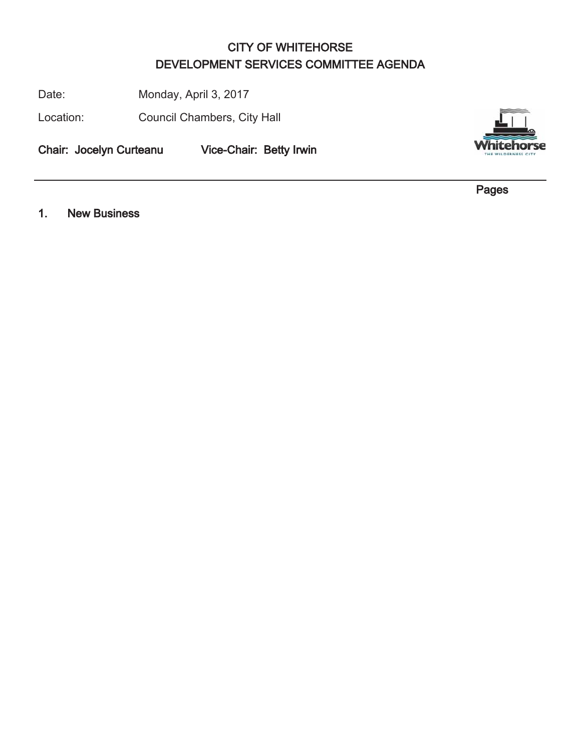## CITY OF WHITEHORSE DEVELOPMENT SERVICES COMMITTEE AGENDA

Date: Monday, April 3, 2017

Location: Council Chambers, City Hall

Chair: Jocelyn Curteanu Vice-Chair: Betty Irwin



Pages

1. New Business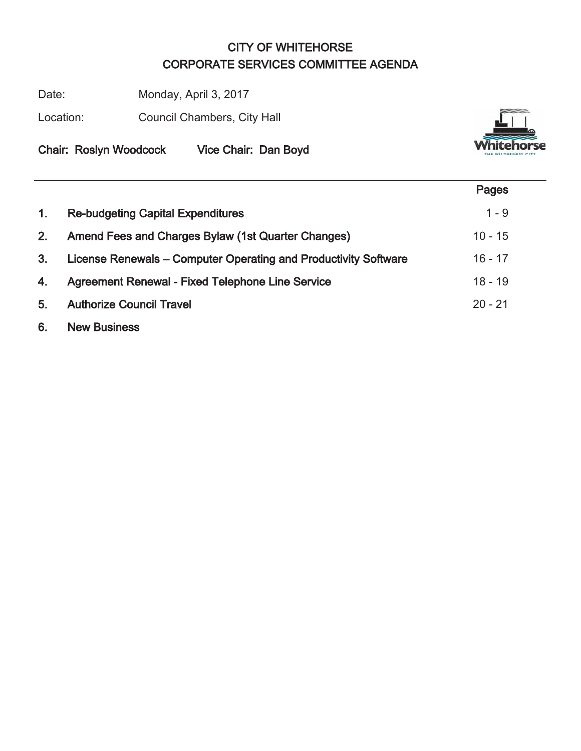## CITY OF WHITEHORSE CORPORATE SERVICES COMMITTEE AGENDA

Date: Monday, April 3, 2017

Location: Council Chambers, City Hall



Chair: Roslyn Woodcock Vice Chair: Dan Boyd

|                |                                                                 | Pages     |
|----------------|-----------------------------------------------------------------|-----------|
| $\mathbf{1}$ . | <b>Re-budgeting Capital Expenditures</b>                        | $1 - 9$   |
| 2.             | Amend Fees and Charges Bylaw (1st Quarter Changes)              | $10 - 15$ |
| 3.             | License Renewals – Computer Operating and Productivity Software | $16 - 17$ |
| 4.             | <b>Agreement Renewal - Fixed Telephone Line Service</b>         | $18 - 19$ |
| 5.             | <b>Authorize Council Travel</b>                                 | $20 - 21$ |
|                |                                                                 |           |

6. New Business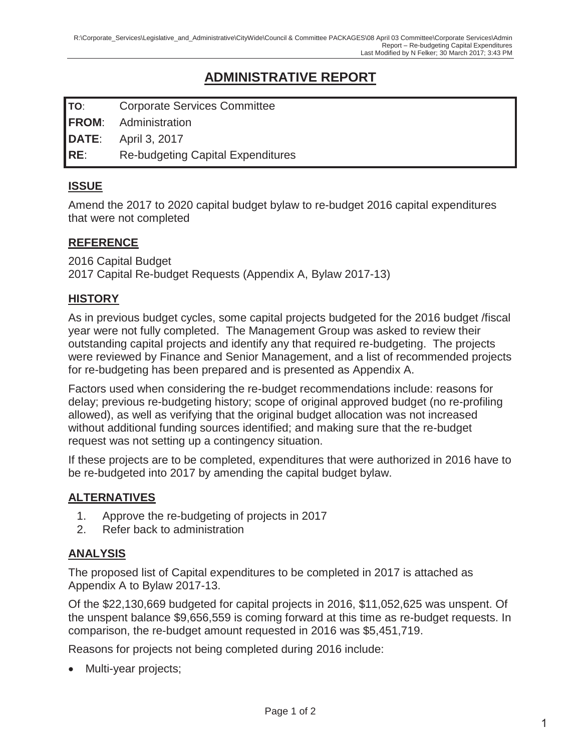## **ADMINISTRATIVE REPORT**

**TO**: Corporate Services Committee

**FROM**: Administration

**DATE**: April 3, 2017

**RE**: Re-budgeting Capital Expenditures

#### **ISSUE**

Amend the 2017 to 2020 capital budget bylaw to re-budget 2016 capital expenditures that were not completed

#### **REFERENCE**

2016 Capital Budget 2017 Capital Re-budget Requests (Appendix A, Bylaw 2017-13)

#### **HISTORY**

As in previous budget cycles, some capital projects budgeted for the 2016 budget /fiscal year were not fully completed. The Management Group was asked to review their outstanding capital projects and identify any that required re-budgeting. The projects were reviewed by Finance and Senior Management, and a list of recommended projects for re-budgeting has been prepared and is presented as Appendix A.

Factors used when considering the re-budget recommendations include: reasons for delay; previous re-budgeting history; scope of original approved budget (no re-profiling allowed), as well as verifying that the original budget allocation was not increased without additional funding sources identified; and making sure that the re-budget request was not setting up a contingency situation.

If these projects are to be completed, expenditures that were authorized in 2016 have to be re-budgeted into 2017 by amending the capital budget bylaw.

#### **ALTERNATIVES**

- 1. Approve the re-budgeting of projects in 2017
- 2. Refer back to administration

#### **ANALYSIS**

The proposed list of Capital expenditures to be completed in 2017 is attached as Appendix A to Bylaw 2017-13.

Of the \$22,130,669 budgeted for capital projects in 2016, \$11,052,625 was unspent. Of the unspent balance \$9,656,559 is coming forward at this time as re-budget requests. In comparison, the re-budget amount requested in 2016 was \$5,451,719.

Reasons for projects not being completed during 2016 include:

• Multi-year projects;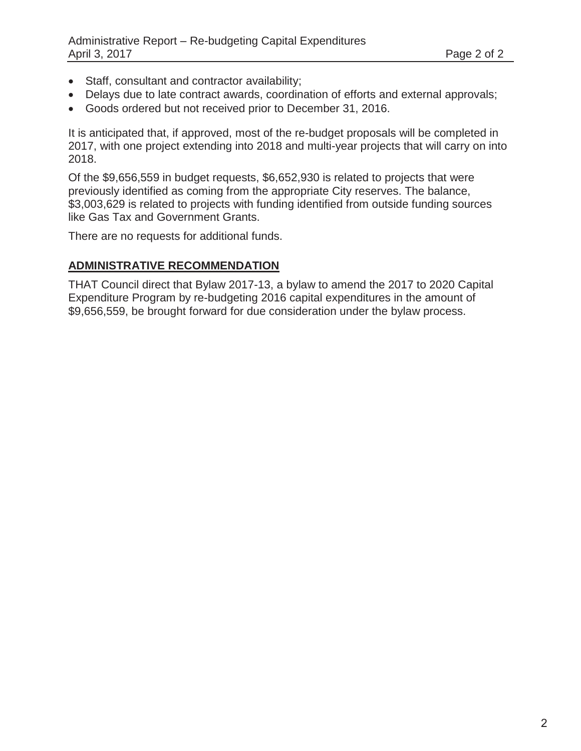- Staff, consultant and contractor availability;
- Delays due to late contract awards, coordination of efforts and external approvals;
- Goods ordered but not received prior to December 31, 2016.

It is anticipated that, if approved, most of the re-budget proposals will be completed in 2017, with one project extending into 2018 and multi-year projects that will carry on into 2018.

Of the \$9,656,559 in budget requests, \$6,652,930 is related to projects that were previously identified as coming from the appropriate City reserves. The balance, \$3,003,629 is related to projects with funding identified from outside funding sources like Gas Tax and Government Grants.

There are no requests for additional funds.

#### **ADMINISTRATIVE RECOMMENDATION**

THAT Council direct that Bylaw 2017-13, a bylaw to amend the 2017 to 2020 Capital Expenditure Program by re-budgeting 2016 capital expenditures in the amount of \$9,656,559, be brought forward for due consideration under the bylaw process.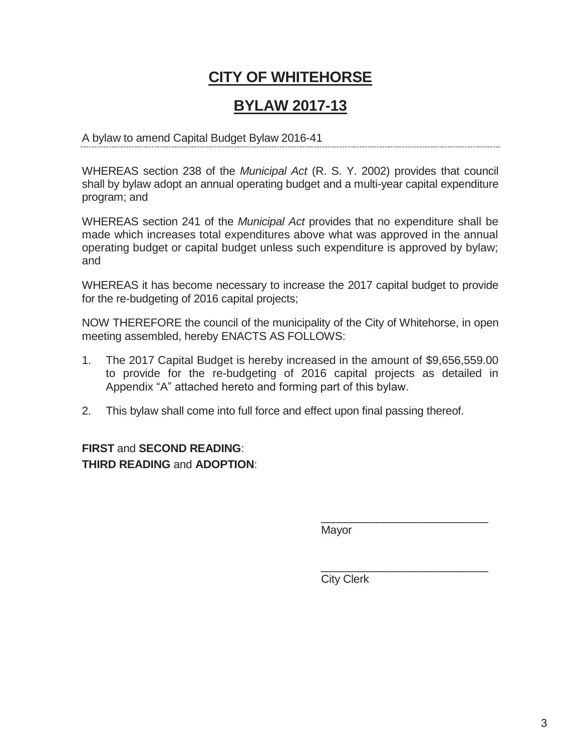## **CITY OF WHITEHORSE**

## **BYLAW 2017-13**

#### A bylaw to amend Capital Budget Bylaw 2016-41

WHEREAS section 238 of the *Municipal Act* (R. S. Y. 2002) provides that council shall by bylaw adopt an annual operating budget and a multi-year capital expenditure program; and

WHEREAS section 241 of the *Municipal Act* provides that no expenditure shall be made which increases total expenditures above what was approved in the annual operating budget or capital budget unless such expenditure is approved by bylaw; and

WHEREAS it has become necessary to increase the 2017 capital budget to provide for the re-budgeting of 2016 capital projects;

NOW THEREFORE the council of the municipality of the City of Whitehorse, in open meeting assembled, hereby ENACTS AS FOLLOWS:

- 1. The 2017 Capital Budget is hereby increased in the amount of \$9,656,559.00 to provide for the re-budgeting of 2016 capital projects as detailed in Appendix "A" attached hereto and forming part of this bylaw.
- 2. This bylaw shall come into full force and effect upon final passing thereof.

## **FIRST** and **SECOND READING**: **THIRD READING** and **ADOPTION**:

Mayor

City Clerk

\_\_\_\_\_\_\_\_\_\_\_\_\_\_\_\_\_\_\_\_\_\_\_\_\_\_\_

\_\_\_\_\_\_\_\_\_\_\_\_\_\_\_\_\_\_\_\_\_\_\_\_\_\_\_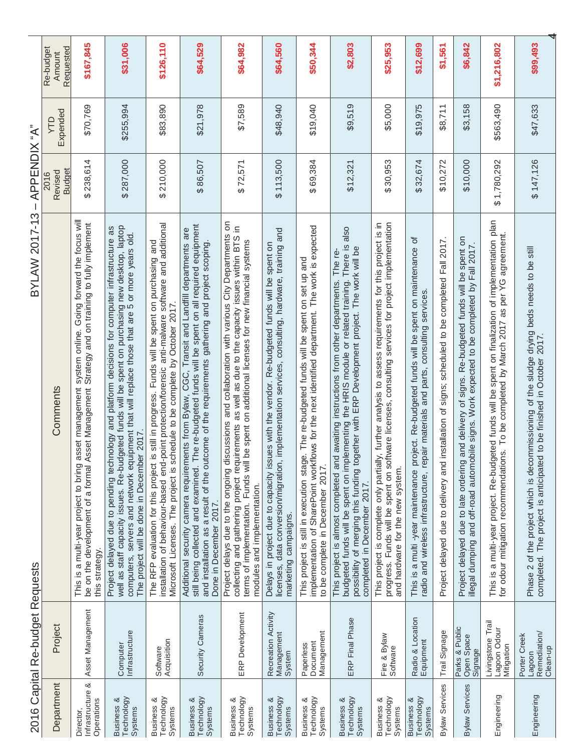| č       |
|---------|
| į       |
|         |
| ・くてて    |
|         |
|         |
|         |
| n<br>Ti |
| י<br>י  |
| 7 2 VU  |
|         |

| i    |
|------|
| ₫    |
| ׇ֚֬֡ |
|      |
|      |
|      |
|      |
|      |
|      |
|      |
|      |
|      |
|      |
|      |
|      |
|      |
|      |
| C    |
|      |
|      |
|      |
|      |
|      |
|      |
|      |
|      |
|      |
|      |
|      |
|      |
| j    |
|      |
|      |
|      |
|      |

|                                                | 2016 Capital Re-budget Requests                    | <b>BYLAW 2017-13</b>                                                                                                                                                                                                                                                                                                                               | APPENDIX "A"<br>$\mathbf I$      |                |                                  |
|------------------------------------------------|----------------------------------------------------|----------------------------------------------------------------------------------------------------------------------------------------------------------------------------------------------------------------------------------------------------------------------------------------------------------------------------------------------------|----------------------------------|----------------|----------------------------------|
| Department                                     | Project                                            | Comments                                                                                                                                                                                                                                                                                                                                           | <b>Budget</b><br>Revised<br>2016 | Expended<br>ÇИ | Requested<br>Re-budget<br>Amount |
| Infrastructure &<br>Operations                 | Asset Management                                   | system online. Going forward the focus will<br>be on the development of a formal Asset Management Strategy and on training to fully implement<br>This is a multi-year project to bring asset management<br>this strategy.                                                                                                                          | \$238,614                        | \$70,769       | \$167,845                        |
| Business &<br>Technology                       | Infrastructure<br>Computer                         | well as staff capacity issues. Re-budgeted funds will be spent on purchasing new desktop, laptop<br>computers, servers and network equipment that will replace those that are 5 or more years old.<br>Project delayed due to pending technology and platform decisions for computer infrastructure as<br>The project will be done in December 2017 | \$287,000                        | \$255,994      | \$31,006                         |
| Technology<br><b>Business &amp;</b>            | Acquisition<br>Software                            | installation of behaviour-based end-point protection/forensic anti-malware software and additional<br>The RFP evaluation for this project is still in progress. Funds will be spent on purchasing and<br>Microsoft Licenses. The project is schedule to be complete by October 2017.                                                               | \$210,000                        | \$83,890       | \$126,110                        |
| Business &<br>Technology                       | Security Cameras                                   | still being collected and examined. The re-budgeted funds will be spent on all required equipment<br>Additional security camera requirements from Bylaw, CGC, Transit and Landfill departments are<br>and installation as a result of the outcome of the requirements gathering and project scoping.<br>Done in December 2017.                     | \$86,507                         | \$21,978       | \$64,529                         |
| Business &<br>Technology<br>Systems            | ERP Development                                    | Project delays due to the ongoing discussions and collaboration with various City Departments on<br>collecting and gathering project requirements as well as due to the capacity issues within BTS in<br>terms of implementation. Funds will be spent on additional licenses for new financial systems<br>modules and implementation.              | \$72,571                         | \$7,589        | \$64,982                         |
| Technology<br><b>Business &amp;</b><br>Systems | Recreation Activity<br>Management<br>System        | licenses, data conversion/migration, implementation services, consulting, hardware, training and<br>Delays in project due to capacity issues with the vendor. Re-budgeted funds will be spent on<br>marketing campaigns.                                                                                                                           | \$113,500                        | \$48,940       | \$64,560                         |
| Business &<br>Technology<br>Systems            | Management<br>Paperless<br>Document                | implementation of SharePoint workflows for the next identified department. The work is expected<br>This project is still in execution stage. The re-budgeted funds will be spent on set up and<br>to be complete in December 2017.                                                                                                                 | \$69,384                         | \$19,040       | \$50,344                         |
| Technology<br><b>Business &amp;</b><br>Systems | ERP Final Phase                                    | also<br>budgeted funds will be spent on implementing the HRIS module or related training. There is<br>possibility of merging this funding together with ERP Development project. The work will be<br>awaiting instructions from other departments. The re-<br>This project is almost completed and<br>completed in December 2017.                  | \$12,321                         | \$9,519        | \$2,803                          |
| Technology<br><b>Business &amp;</b><br>Systems | Fire & Bylaw<br>Software                           | , further analysis to assess requirements for this project is in<br>progress. Funds will be spent on software licenses, consulting services for project implementation<br>This project is complete only partially<br>and hardware for the new system.                                                                                              | \$30,953                         | \$5,000        | \$25,953                         |
| Technology<br><b>Business &amp;</b><br>Systems | Radio & Location<br>Equipment                      | 'ত<br>This is a multi -year maintenance project. Re-budgeted funds will be spent on maintenance<br>radio and wireless infrastructure, repair materials and parts, consulting services.                                                                                                                                                             | \$32,674                         | \$19,975       | \$12,699                         |
| Bylaw Services                                 | Trail Signage                                      | Project delayed due to delivery and installation of signs; scheduled to be completed Fall 2017.                                                                                                                                                                                                                                                    | \$10,272                         | \$8,711        | \$1,561                          |
| <b>Bylaw Services</b>                          | Parks & Public<br>Open Space<br>Signage            | Project delayed due to late ordering and delivery of signs. Re-budgeted funds will be spent on<br>illegal dumping and off-road automobile signs. Work expected to be completed by Fall 2017.                                                                                                                                                       | \$10,000                         | \$3,158        | \$6,842                          |
| Engineering                                    | Livingstone Trail<br>Lagoon Odour<br>Mitigation    | This is a multi-year project. Re-budgeted funds will be spent on finalization of implementation plan<br>for odour mitigation recommendations. To be completed by March 2017 as per YG agreement.                                                                                                                                                   | \$1,780,292                      | \$563,490      | \$1,216,802                      |
| Engineering                                    | Remediation/<br>Porter Creek<br>Clean-up<br>Lagoon | Phase 2 of the project which is decommissioning of the sludge drying beds needs to be still<br>completed. The project is anticipated to be finished in October 2017.<br>to be finished in October 2017.                                                                                                                                            | \$147,126                        | \$47,633       | \$99,493                         |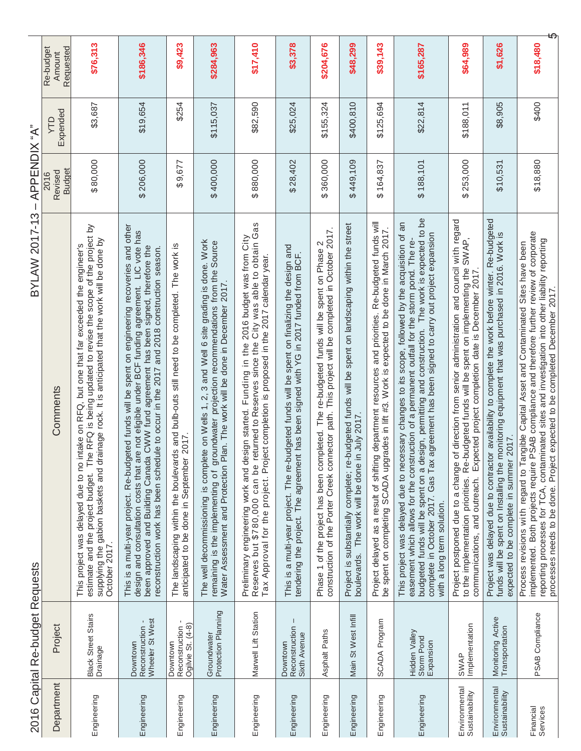|                                 | 2016 Capital Re-budget Requests                        | <b>BYLAW 2017-13</b>                                                                                                                                                                                                                                                                                                                                                                                                                   | APPENDIX "A"<br>$\bar{1}$        |               |                                  |
|---------------------------------|--------------------------------------------------------|----------------------------------------------------------------------------------------------------------------------------------------------------------------------------------------------------------------------------------------------------------------------------------------------------------------------------------------------------------------------------------------------------------------------------------------|----------------------------------|---------------|----------------------------------|
| Department                      | Project                                                | Comments                                                                                                                                                                                                                                                                                                                                                                                                                               | <b>Budget</b><br>Revised<br>2016 | Expended<br>ξ | Requested<br>Re-budget<br>Amount |
| Engineering                     | Black Street Stairs<br>Drainage                        | he RFQ is being updated to revise the scope of the project by<br>supplying the gabion baskets and drainage rock. It is anticipated that the work will be done by<br>October 2017.<br>intake on RFQ, but one that far exceeded the engineer's<br>estimate and the project budget. Ti<br>This project was delayed due to no                                                                                                              | \$80,000                         | \$3,687       | \$76,313                         |
| Engineering                     | Wheeler St West<br>Reconstruction -<br>Downtown        | This is a multi-year project. Re-budgeted funds will be spent on engineering recoveries and other<br>design and consultation costs that are not eligible under BCF funding agreement. LIC vote has<br>been approved and Building Canada CWW fund agreement has been signed, therefore the<br>reconstruction work has been schedule to occur in the 2017 and 2018 construction season.                                                  | \$206,000                        | \$19,654      | \$186,346                        |
| Engineering                     | ٠<br>Downtown<br>Reconstruction -<br>Ogilvie St. (4-8) | The landscaping within the boulevards and bulb-outs still need to be completed. The work is<br>anticipated to be done in September 2017.                                                                                                                                                                                                                                                                                               | \$9,677                          | \$254         | \$9,423                          |
| Engineering                     | Groundwater<br>Protection Planning                     | The well decommissioning is complete on Wells 1, 2, 3 and Well 6 site grading is done. Work<br>remaining is the implementing of groundwater projection recommendations from the Source<br>Plan. The work will be done in December 2017.<br>Water Assessment and Protection                                                                                                                                                             | \$400,000                        | \$115,037     | \$284,963                        |
| Engineering                     | Marwell Lift Station                                   | returned to Reserves since the City was able to obtain Gas<br>Preliminary engineering work and design started. Funding in the 2016 budget was from City<br>Reserves but \$780,000 can be returned to Reserves since the City was able to obtain G<br>Tax Approval for the project. Project completi                                                                                                                                    | \$880,000                        | \$82,590      | \$17,410                         |
| Engineering                     | Downtown<br>Reconstruction<br>Sixth Avenue             | This is a multi-year project. The re-budgeted funds will be spent on finalizing the design and<br>tendering the project. The agreement has been signed with YG in 2017 funded from BCF.                                                                                                                                                                                                                                                | \$28,402                         | \$25,024      | \$3,378                          |
| Engineering                     | Asphalt Paths                                          | construction of the Porter Creek connector path. This project will be completed in October 2017.<br>Phase 1 of the project has been completed. The re-budgeted funds will be spent on Phase 2                                                                                                                                                                                                                                          | \$360,000                        | \$155,324     | \$204,676                        |
| Engineering                     | Main St West Infill                                    | Project is substantially complete; re-budgeted funds will be spent on landscaping within the street<br>boulevards. The work will be done in July 2017.<br>in July 2017                                                                                                                                                                                                                                                                 | \$449,109                        | \$400,810     | \$48,299                         |
| Engineering                     | SCADA Program                                          | Project delayed as a result of shifting department resources and priorities. Re-budgeted funds will<br>be spent on completing SCADA upgrades in lift #3. Work is expected to be done in March 2017.                                                                                                                                                                                                                                    | \$164,837                        | \$125,694     | \$39,143                         |
| Engineering                     | Hidden Valley<br>Storm Pond<br>Expansion               | budgeted funds will be spent on a design, permitting and construction. The work is expected to be<br>This project was delayed due to necessary changes to its scope, followed by the acquisition of an<br>agreement has been signed to carry out project expansion<br>easement which allows for the construction of a permanent outfall for the storm pond. The re-<br>complete in October 2017. Gas Tax<br>with a long term solution. | \$188,101                        | \$22,814      | \$165,287                        |
| Environmental<br>Sustainability | SWAP<br>Implementation                                 | of direction from senior administration and council with regard<br>to the implementation priorities. Re-budgeted funds will be spent on implementing the SWAP,<br>communications, and outreach. Expected project completion date is December 2017<br>Project postponed due to a change                                                                                                                                                 | \$253,000                        | \$188,011     | \$64,989                         |
| Environmental<br>Sustainability | Monitoring Active<br>Transportation                    | Project was delayed due to contractor availability to complete the work before winter. Re-budgeted<br>monitoring equipment that was purchased in 2016. Work is<br>expected to be complete in summer 2017.<br>funds will be spent on Installing the                                                                                                                                                                                     | \$10,531                         | \$8,905       | \$1,626                          |
| Financial<br>Services           | PSAB Compliance                                        | PSAB compliance and therefore further review of corporate<br>reporting processes for TCA, contaminated sites and investigation into other liability reporting<br>Process revisions with regard to Tangible Capital Asset and Contaminated Sites have been<br>processes needs to be done. Project expected to be completed December 2017.<br>implemented. Both projects require                                                         | \$18,880                         | \$400         | \$18,480                         |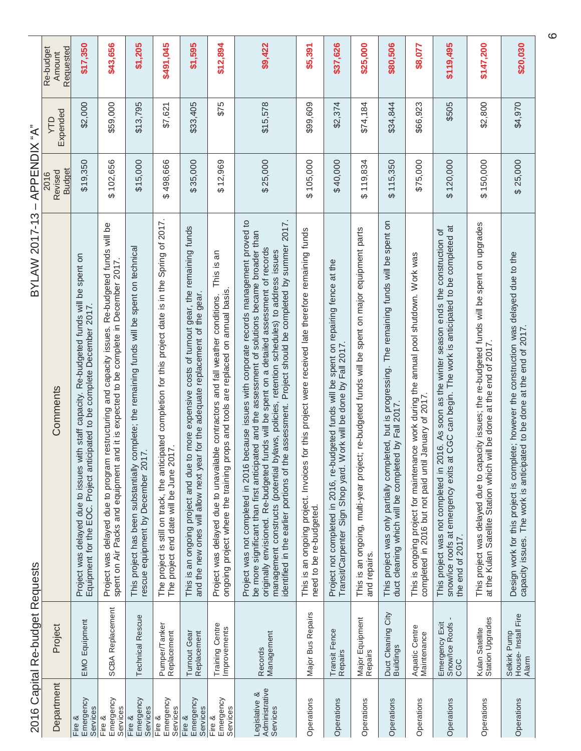| $\overline{C}$ |
|----------------|
|                |
| 7220           |

 $BYLAW 2017-13 - APPENDIX "A"$ 

|                                             | 2016 Capital Re-budget Requests              | $BYLAW 2017-13-APPENDIX "A"$                                                                                                                                                                                                                                                                                                                                                                                                                                                                         |                                  |                 |                                  |
|---------------------------------------------|----------------------------------------------|------------------------------------------------------------------------------------------------------------------------------------------------------------------------------------------------------------------------------------------------------------------------------------------------------------------------------------------------------------------------------------------------------------------------------------------------------------------------------------------------------|----------------------------------|-----------------|----------------------------------|
| Department                                  | Project                                      | Comments                                                                                                                                                                                                                                                                                                                                                                                                                                                                                             | <b>Budget</b><br>Revised<br>2016 | Expended<br>YТD | Requested<br>Re-budget<br>Amount |
| Emergency<br>Services<br>Fire &             | <b>EMO Equipment</b>                         | Project was delayed due to issues with staff capacity. Re-budgeted funds will be spent on<br>Equipment for the EOC. Project anticipated to be complete December 2017.                                                                                                                                                                                                                                                                                                                                | \$19,350                         | \$2,000         | \$17,350                         |
| Emergency<br>Services<br>Fire &             | <b>SCBA Replacement</b>                      | Project was delayed due to program restructuring and capacity issues. Re-budgeted funds will be<br>spent on Air Packs and equipment and it is expected to be complete in December 2017.                                                                                                                                                                                                                                                                                                              | \$102,656                        | \$59,000        | \$43,656                         |
| Emergency<br>Services<br>Fire &             | <b>Technical Rescue</b>                      | complete; the remaining funds will be spent on technical<br>rescue equipment by December 2017.<br>This project has been substantially                                                                                                                                                                                                                                                                                                                                                                | \$15,000                         | \$13,795        | \$1,205                          |
| Emergency<br>Services<br>Fire &             | Pumper/Tanker<br>Replacement                 | The project is still on track, the anticipated completion for this project date is in the Spring of 2017.<br>The project end date will be June 2017.                                                                                                                                                                                                                                                                                                                                                 | \$498,666                        | \$7,621         | \$491,045                        |
| Emergency<br>Services<br>Fire &             | Turnout Gear<br>Replacement                  | to more expensive costs of turnout gear, the remaining funds<br>and the new ones will allow next year for the adequate replacement of the gear.<br>This is an ongoing project and due t                                                                                                                                                                                                                                                                                                              | \$35,000                         | \$33,405        | \$1,595                          |
| Emergency<br>Services<br>Fire &             | Training Centre<br>Improvements              | This is an<br>ongoing project where the training props and tools are replaced on annual basis.<br>Project was delayed due to unavailable contractors and fall weather conditions.                                                                                                                                                                                                                                                                                                                    | \$12,969                         | \$75            | \$12,894                         |
| Administrative<br>Services<br>Legislative & | Management<br>Records                        | because issues with corporate records management proved to<br>identified in the earlier portions of the assessment. Project should be completed by summer 2017.<br>be more significant than first anticipated and the assessment of solutions became broader than<br>funds will be spent on a detailed assessment of records<br>management constructs (potential bylaws, policies, retention schedules) to address issues<br>originally envisioned. Re-budgeted<br>Project was not completed in 2016 | \$25,000                         | \$15,578        | \$9,422                          |
| Operations                                  | Major Bus Repairs                            | for this project were received late therefore remaining funds<br>This is an ongoing project. Invoices<br>need to be re-budgeted.                                                                                                                                                                                                                                                                                                                                                                     | \$105,000                        | \$99,609        | \$5,391                          |
| Operations                                  | Transit Fence<br>Repairs                     | Project not completed in 2016, re-budgeted funds will be spent on repairing fence at the<br>Transit/Carpenter Sign Shop yard. Work will be done by Fall 2017                                                                                                                                                                                                                                                                                                                                         | \$40,000                         | \$2,374         | \$37,626                         |
| Operations                                  | Major Equipment<br>Repairs                   | This is an ongoing, multi-year project; re-budgeted funds will be spent on major equipment parts<br>and repairs.                                                                                                                                                                                                                                                                                                                                                                                     | \$119,834                        | \$74,184        | \$25,000                         |
| Operations                                  | Duct Cleaning City<br>Buildings              | The remaining funds will be spent on<br>but is progressing.<br>duct cleaning which will be completed by Fall 2017<br>This project was only partially completed,                                                                                                                                                                                                                                                                                                                                      | \$115,350                        | \$34,844        | \$80,506                         |
| Operations                                  | Aquatic Centre<br>Maintenance                | This is ongoing project for maintenance work during the annual pool shutdown. Work was<br>January of 2017<br>completed in 2016 but not paid until                                                                                                                                                                                                                                                                                                                                                    | \$75,000                         | \$66,923        | \$8,077                          |
| Operations                                  | Emergency Exit<br>Snow/lce Roofs -<br>CGC    | snow/ice roofs at emergency exits at CGC can begin. The work is anticipated to be completed at<br>the end of 2017.<br>This project was not completed in 2016. As soon as the winter season ends the construction of                                                                                                                                                                                                                                                                                  | \$120,000                        | \$505           | \$119,495                        |
| Operations                                  | Kulan Satellite<br>Station Upgrades          | This project was delayed due to capacity issues; the re-budgeted funds will be spent on upgrades<br>at the Kulan Satellite Station which will be done at the end of 2017.                                                                                                                                                                                                                                                                                                                            | \$150,000                        | \$2,800         | \$147,200                        |
| Operations                                  | Selkirk Pump<br>House- Install Fire<br>Alarm | Design work for this project is complete; however the construction was delayed due to the<br>capacity issues. The work is anticipated to be done at the end of 2017.                                                                                                                                                                                                                                                                                                                                 | \$25,000                         | \$4,970         | \$20,030                         |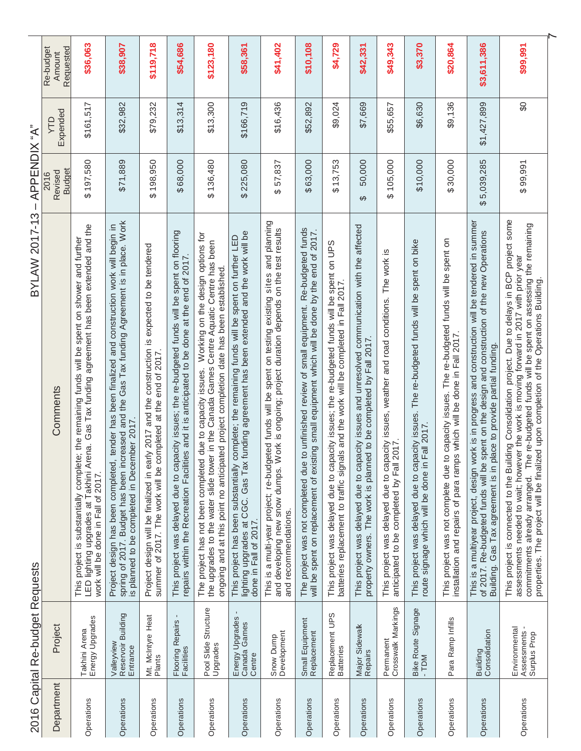|            | 2016 Capital Re-budget Requests                | <b>BYLAW 2017-13</b>                                                                                                                                                                                                                                                                                                                                                                  | APPENDIX "A"<br>$\overline{\phantom{a}}$ |                |                                  |
|------------|------------------------------------------------|---------------------------------------------------------------------------------------------------------------------------------------------------------------------------------------------------------------------------------------------------------------------------------------------------------------------------------------------------------------------------------------|------------------------------------------|----------------|----------------------------------|
| Department | Project                                        | Comments                                                                                                                                                                                                                                                                                                                                                                              | Budget<br>Revised<br>2016                | Expended<br>ЛD | Requested<br>Re-budget<br>Amount |
| Operations | Takhini Arena<br>Energy Upgrades               | This project is substantially complete; the remaining funds will be spent on shower and further<br>LED lighting upgrades at Takhini Arena. Gas Tax funding agreement has been extended and the<br>work will be done in Fall of 2017.                                                                                                                                                  | \$197,580                                | \$161,517      | \$36,063                         |
| Operations | Valleyview<br>Reservoir Building<br>Entrance   | Project design has been completed, tender has been finalized and construction work will begin in<br>spring of 2017. Budget has been increased and the Gas Tax funding Agreement is in place. Work<br>tender has been finalized and construction work will begin in<br>is planned to be completed in December 2017                                                                     | \$71,889                                 | \$32,982       | \$38,907                         |
| Operations | Mt. McIntyre Heat<br>Plants                    | Project design will be finalized in early 2017 and the construction is expected to be tendered<br>summer of 2017. The work will be completed at the end of 2017.                                                                                                                                                                                                                      | \$198,950                                | \$79,232       | \$119,718                        |
| Operations | Flooring Repairs<br>Facilities                 | This project was delayed due to capacity issues; the re-budgeted funds will be spent on flooring<br>repairs within the Recreation Facilities and it is anticipated to be done at the end of 2017.                                                                                                                                                                                     | \$68,000                                 | \$13,314       | \$54,686                         |
| Operations | Structure<br>Pool Slide 1<br>Upgrades          | Working on the design options for<br>the upgrades to the water slide tower in the Canada Games Centre Aquatic Centre has been<br>ongoing and at this point no anticipated project completion date has been established.<br>due to capacity issues.<br>The project has not been completed                                                                                              | \$136,480                                | \$13,300       | \$123,180                        |
| Operations | Energy Upgrades -<br>Canada Games<br>Centre    | funding agreement has been extended and the work will be<br>This project has been substantially complete; the remaining funds will be spent on further LED<br>lighting upgrades at CGC. Gas Tax<br>done in Fall of 2017.                                                                                                                                                              | \$225,080                                | \$166,719      | \$58,361                         |
| Operations | Snow Dump<br>Development                       | This is a multi-year project; re-budgeted funds will be spent on testing existing sites and planning<br>and developing new snow dumps. Work is ongoing; project duration depends on the test results<br>and recommendations.                                                                                                                                                          | 57,837<br>ക                              | \$16,436       | \$41,402                         |
| Operations | Small Equipment<br>Replacement                 | to unfinished review of small equipment. Re-budgeted funds<br>will be spent on replacement of existing small equipment which will be done by the end of 2017<br>The project was not completed due                                                                                                                                                                                     | \$63,000                                 | \$52,892       | \$10,108                         |
| Operations | Replacement UPS<br>Batteries                   | This project was delayed due to capacity issues; the re-budgeted funds will be spent on UPS<br>batteries replacement to traffic signals and the work will be completed in Fall 2017.                                                                                                                                                                                                  | \$13,753                                 | \$9,024        | \$4,729                          |
| Operations | Major Sidewalk<br>Repairs                      | This project was delayed due to capacity issues and unresolved communication with the affected<br>property owners. The work is planned to be completed by Fall 2017.                                                                                                                                                                                                                  | 50,000<br>$\Theta$                       | \$7,669        | \$42,331                         |
| Operations | Permanent<br>Crosswalk Markings                | This project was delayed due to capacity issues, weather and road conditions. The work is<br>anticipated to be completed by Fall 2017                                                                                                                                                                                                                                                 | 105,000<br>↔                             | \$55,657       | \$49,343                         |
| Operations | Bike Route Signage<br>$-TDM$                   | The re-budgeted funds will be spent on bike<br>This project was delayed due to capacity issues.<br>Fall 2017.<br>route signage which will be done in                                                                                                                                                                                                                                  | \$10,000                                 | \$6,630        | \$3,370                          |
| Operations | Para Ramp Infills                              | This project was not complete due to capacity issues. The re-budgeted funds will be spent on<br>installation and repairs of para ramps which will be done in Fall 2017                                                                                                                                                                                                                | \$30,000                                 | \$9,136        | \$20,864                         |
| Operations | Building<br>Consolidation                      | This is a multiyear project, design work is in progress and construction will be tendered in summer<br>of 2017. Re-budgeted funds will be spent on the design and construction of the new Operations<br>Building. Gas Tax agreement is in place to provide partial funding.                                                                                                           | \$5,039,285                              | \$1,427,899    | \$3,611,386                      |
| Operations | Environmental<br>Assessments -<br>Surplus Prop | This project is connected to the Building Consolidation project. Due to delays in BCP project some<br>commitments already arranged. The re-budgeted funds will be spent on assessing the remaining<br>assessments needed to wait; however the work is moving forward in 2017 with prior year<br>properties. The project will be finalized upon completion of the Operations Building. | \$99,991                                 | SO             | \$99,991                         |
|            |                                                |                                                                                                                                                                                                                                                                                                                                                                                       |                                          |                |                                  |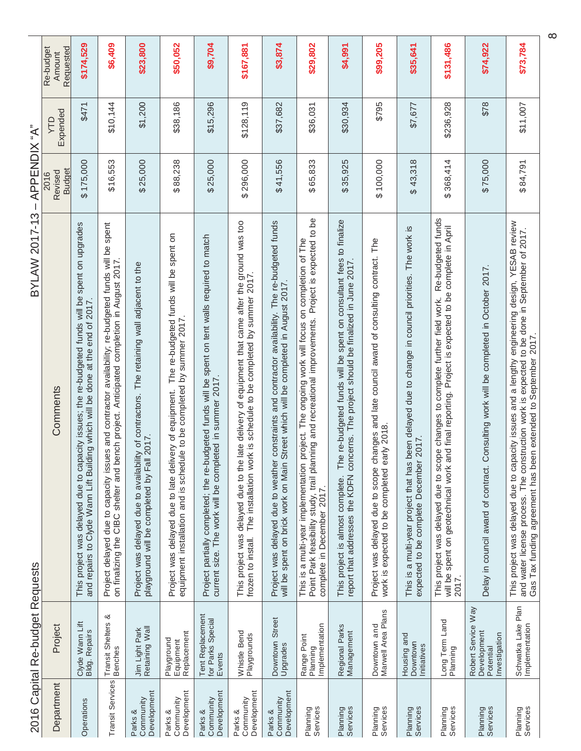| 2016 Capital Re-budget Requests                                                            | <b>BYLAW 2017-13</b><br>Comments                                                                                                                                                                | APPENDIX "A"<br><b>Budget</b><br>Revised<br>2016<br>$\overline{\phantom{a}}$ | Expended<br>ÇИ | Requested<br>Re-budget<br>Amount |
|--------------------------------------------------------------------------------------------|-------------------------------------------------------------------------------------------------------------------------------------------------------------------------------------------------|------------------------------------------------------------------------------|----------------|----------------------------------|
|                                                                                            | This project was delayed due to capacity issues; the re-budgeted funds will be spent on upgrades<br>and repairs to Clyde Wann Lift Building which will be done at the end of 2017               | \$175,000                                                                    | \$471          | \$174,529                        |
|                                                                                            | Project delayed due to capacity issues and contractor availability; re-budgeted funds will be spent<br>on finalizing the CIBC shelter and bench project. Anticipated completion in August 2017. | \$16,553                                                                     | \$10,144       | \$6,409                          |
| playground will be completed by Fall 2017.                                                 | Project was delayed due to availability of contractors. The retaining wall adjacent to the                                                                                                      | \$25,000                                                                     | \$1,200        | \$23,800                         |
| Project was delayed due to late delivery of equipment.                                     | The re-budgeted funds will be spent on<br>equipment installation and is schedule to be completed by summer 2017.                                                                                | \$88,238                                                                     | \$38,186       | \$50,052                         |
| current size. The work will be completed in summer 2017.                                   | Project partially completed; the re-budgeted funds will be spent on tent walls required to match                                                                                                | \$25,000                                                                     | \$15,296       | \$9,704                          |
|                                                                                            | This project was delayed due to the late delivery of equipment that came after the ground was too<br>frozen to install. The installation work is schedule to be completed by summer 2017.       | \$296,000                                                                    | \$128,119      | \$167,881                        |
| will be spent on brick work on Main                                                        | Project was delayed due to weather constraints and contractor availability. The re-budgeted funds<br>Street which will be completed in August 2017.                                             | \$41,556                                                                     | \$37,682       | \$3,874                          |
| This is a multi-year implementation<br>complete in December 2017.                          | Project is expected to be<br>project. The ongoing work will focus on completion of The<br>Point Park feasibility study, trail planning and recreational improvements.                           | \$65,833                                                                     | \$36,031       | \$29,802                         |
| This project is almost complete.                                                           | The re-budgeted funds will be spent on consultant fees to finalize<br>report that addresses the KDFN concerns. The project should be finalized in June 2017                                     | \$35,925                                                                     | \$30,934       | \$4,991                          |
| Project was delayed due to scope changes a<br>work is expected to be completed early 2018. | changes and late council award of consulting contract. The                                                                                                                                      | \$100,000                                                                    | \$795          | \$99,205                         |
| expected to be complete December 2017.                                                     | This is a multi-year project that has been delayed due to change in council priorities. The work is                                                                                             | \$43,318                                                                     | \$7,677        | \$35,641                         |
| will be spent on geotechnical work<br>2017.                                                | Re-budgeted funds<br>and final reporting. Project is expected to be complete in April<br>This project was delayed due to scope changes to complete further field work.                          | \$368,414                                                                    | \$236,928      | \$131,486                        |
| Delay in council award of contract.                                                        | Consulting work will be completed in October 2017                                                                                                                                               | \$75,000                                                                     | \$78           | \$74,922                         |
| Gas Tax funding agreement has been extended to September 2017                              | This project was delayed due to capacity issues and a lengthy engineering design, YESAB review<br>and water license process. The construction work is expected to be done in September of 2017. | \$84,791                                                                     | \$11,007       | \$73,784                         |

ADDENDIY "A" **RYI AW 2017-13**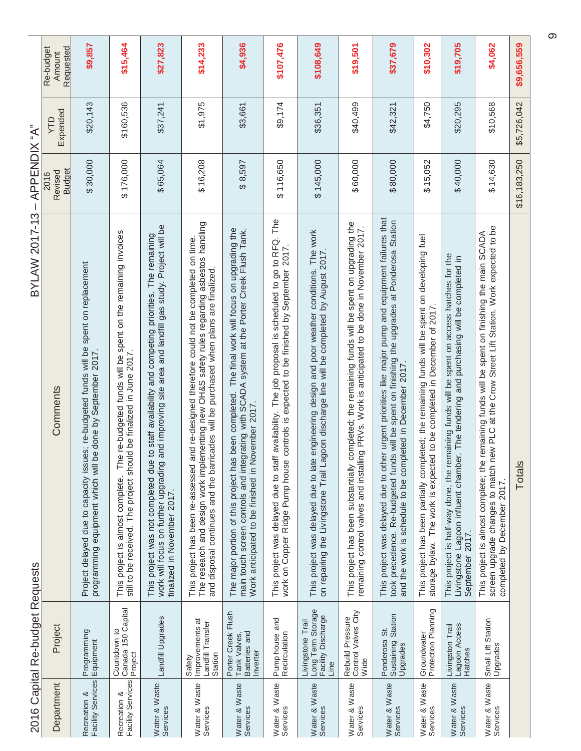|                                 | Requested<br>Re-budget<br>Amount | \$9,857                                                                                                                                                  | \$15,464                                                                                                                                                                            | \$27,823                                                                                                                                                                                                                                | \$14,233                                                                                                                                                                                                                                                                               | \$4,936                                                                                                                                                                                                                                                  | \$107,476                                                                                                                                                                                     | \$108,649                                                                                                                                                                                  | \$19,501                                                                                                                                                                                               | \$37,679                                                                                                                                                                                                                                                             | \$10,302                                                                                                                                                                    | \$19,705                                                                                                                                                                                               | \$4,062                                                                                                                                                                                                                          | \$9,656,559  |
|---------------------------------|----------------------------------|----------------------------------------------------------------------------------------------------------------------------------------------------------|-------------------------------------------------------------------------------------------------------------------------------------------------------------------------------------|-----------------------------------------------------------------------------------------------------------------------------------------------------------------------------------------------------------------------------------------|----------------------------------------------------------------------------------------------------------------------------------------------------------------------------------------------------------------------------------------------------------------------------------------|----------------------------------------------------------------------------------------------------------------------------------------------------------------------------------------------------------------------------------------------------------|-----------------------------------------------------------------------------------------------------------------------------------------------------------------------------------------------|--------------------------------------------------------------------------------------------------------------------------------------------------------------------------------------------|--------------------------------------------------------------------------------------------------------------------------------------------------------------------------------------------------------|----------------------------------------------------------------------------------------------------------------------------------------------------------------------------------------------------------------------------------------------------------------------|-----------------------------------------------------------------------------------------------------------------------------------------------------------------------------|--------------------------------------------------------------------------------------------------------------------------------------------------------------------------------------------------------|----------------------------------------------------------------------------------------------------------------------------------------------------------------------------------------------------------------------------------|--------------|
|                                 | Expended<br>ÇИ                   | \$20,143                                                                                                                                                 | \$160,536                                                                                                                                                                           | \$37,241                                                                                                                                                                                                                                | \$1,975                                                                                                                                                                                                                                                                                | \$3,661                                                                                                                                                                                                                                                  | \$9,174                                                                                                                                                                                       | \$36,351                                                                                                                                                                                   | \$40,499                                                                                                                                                                                               | \$42,321                                                                                                                                                                                                                                                             | \$4,750                                                                                                                                                                     | \$20,295                                                                                                                                                                                               | \$10,568                                                                                                                                                                                                                         | \$5,726,042  |
| APPENDIX "A"<br>$\mathbf{I}$    | <b>Budget</b><br>Revised<br>2016 | \$30,000                                                                                                                                                 | \$176,000                                                                                                                                                                           | \$65,064                                                                                                                                                                                                                                | \$16,208                                                                                                                                                                                                                                                                               | \$8,597                                                                                                                                                                                                                                                  | \$116,650                                                                                                                                                                                     | \$145,000                                                                                                                                                                                  | \$60,000                                                                                                                                                                                               | \$80,000                                                                                                                                                                                                                                                             | \$15,052                                                                                                                                                                    | \$40,000                                                                                                                                                                                               | \$14,630                                                                                                                                                                                                                         | \$16,183,250 |
| <b>BYLAW 2017-13</b>            | Comments                         | Project delayed due to capacity issues; re-budgeted funds will be spent on replacement<br>be done by September 2017.<br>programming equipment which will | he re-budgeted funds will be spent on the remaining invoices<br>still to be received. The project should be finalized in June 2017.<br>$\vdash$<br>This project is almost complete. | work will focus on further upgrading and improving site area and landfill gas study. Project will be<br>This project was not completed due to staff availability and competing priorities. The remaining<br>finalized in November 2017. | The research and design work implementing new OH&S safety rules regarding asbestos handling<br>and re-designed therefore could not be completed on time.<br>and disposal continues and the barricades will be purchased when plans are finalized.<br>This project has been re-assessed | The major portion of this project has been completed. The final work will focus on upgrading the<br>main touch screen controls and integrating with SCADA system at the Porter Creek Flush Tank.<br>November 2017.<br>Work anticipated to be finished in | This project was delayed due to staff availability. The job proposal is scheduled to go to RFQ. The<br>work on Copper Ridge Pump house controls is expected to be finished by September 2017. | This project was delayed due to late engineering design and poor weather conditions. The work<br>on repairing the Livingstone Trail Lagoon discharge line will be completed by August 2017 | completed; the remaining funds will be spent on upgrading the<br>remaining control valves and installing PRVs. Work is anticipated to be done in November 2017.<br>This project has been substantially | This project was delayed due to other urgent priorities like major pump and equipment failures that<br>took precedence. Re-budgeted funds will be spent on finishing the upgrades at Ponderosa Station<br>and the work is schedule to be completed in December 2017. | This project has been partially completed; the remaining funds will be spent on developing fuel<br>storage bylaw. The work is expected to be completed in December of 2017. | This project is half-way done, the remaining funds will be spent on access hatches for the<br>Livingstone Lagoon influent chamber. The tendering and purchasing will be completed in<br>September 2017 | new PLC at the Crow Street Lift Station. Work expected to be<br>This project is almost complete; the remaining funds will be spent on finishing the main SCADA<br>screen upgrade changes to match<br>completed by December 2017. | Totals       |
| 2016 Capital Re-budget Requests | Project                          | Programming<br>Equipment                                                                                                                                 | Canada 150 Capital<br>Countdown to<br>Project                                                                                                                                       | Landfill Upgrades                                                                                                                                                                                                                       | Improvements at<br>Landfill Transfer<br>Station<br>Safety                                                                                                                                                                                                                              | Porter Creek Flush<br>Batteries and<br>Tank Valves,<br>Inverter                                                                                                                                                                                          | Pump house and<br>Recirculation                                                                                                                                                               | Long Term Storage<br>Facility Discharge<br>Livingstone Trail<br>Line                                                                                                                       | Rebuild Pressure<br>Control Valves City<br>Wide                                                                                                                                                        | Sustaining Station<br>Upgrades<br>Ponderosa St.                                                                                                                                                                                                                      | Groundwater<br>Protection Planning                                                                                                                                          | Lagoon Access<br>Livingston Trail<br>Hatches                                                                                                                                                           | Small Lift Station<br>Upgrades                                                                                                                                                                                                   |              |
|                                 | Department                       | Recreation &<br>Facility Services                                                                                                                        | Recreation &<br>Facility Services                                                                                                                                                   | Water & Waste<br>Services                                                                                                                                                                                                               | Water & Waste<br>Services                                                                                                                                                                                                                                                              | Water & Waste<br>Services                                                                                                                                                                                                                                | Water & Waste<br>Services                                                                                                                                                                     | Water & Waste<br>Services                                                                                                                                                                  | Water & Waste<br>Services                                                                                                                                                                              | Water & Waste<br>Services                                                                                                                                                                                                                                            | Water & Waste<br>Services                                                                                                                                                   | Water & Waste<br>Services                                                                                                                                                                              | Water & Waste<br>Services                                                                                                                                                                                                        |              |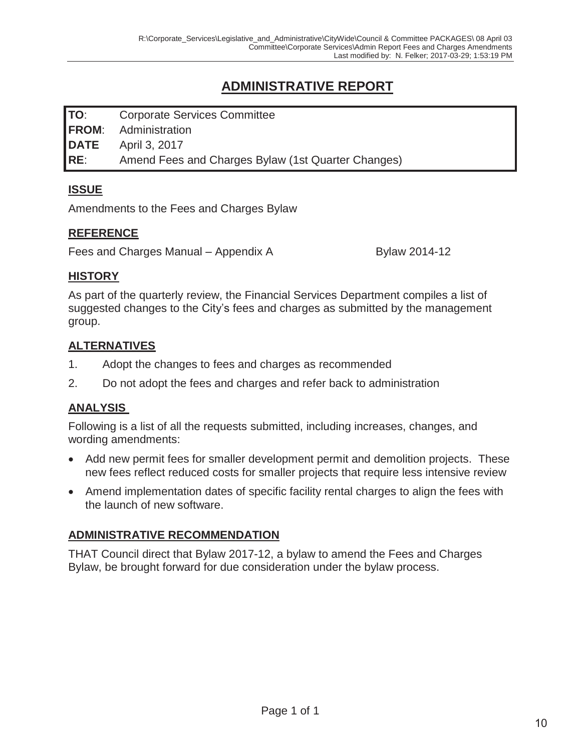## **ADMINISTRATIVE REPORT**

**TO**: Corporate Services Committee **FROM**: Administration **DATE** April 3, 2017 **RE**: Amend Fees and Charges Bylaw (1st Quarter Changes)

## **ISSUE**

Amendments to the Fees and Charges Bylaw

#### **REFERENCE**

Fees and Charges Manual – Appendix A Bylaw 2014-12

#### **HISTORY**

As part of the quarterly review, the Financial Services Department compiles a list of suggested changes to the City's fees and charges as submitted by the management group.

#### **ALTERNATIVES**

- 1. Adopt the changes to fees and charges as recommended
- 2. Do not adopt the fees and charges and refer back to administration

#### **ANALYSIS**

Following is a list of all the requests submitted, including increases, changes, and wording amendments:

- Add new permit fees for smaller development permit and demolition projects. These new fees reflect reduced costs for smaller projects that require less intensive review
- Amend implementation dates of specific facility rental charges to align the fees with the launch of new software.

## **ADMINISTRATIVE RECOMMENDATION**

THAT Council direct that Bylaw 2017-12, a bylaw to amend the Fees and Charges Bylaw, be brought forward for due consideration under the bylaw process.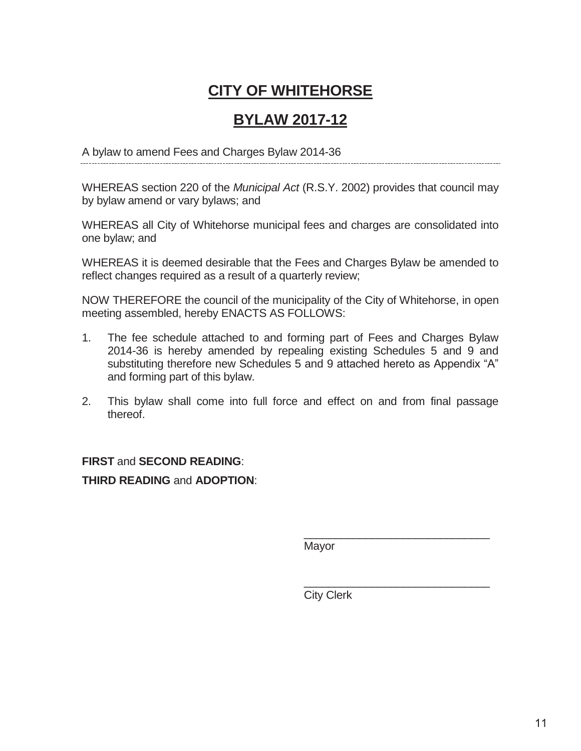## **CITY OF WHITEHORSE**

## **BYLAW 2017-12**

A bylaw to amend Fees and Charges Bylaw 2014-36

WHEREAS section 220 of the *Municipal Act* (R.S.Y. 2002) provides that council may by bylaw amend or vary bylaws; and

WHEREAS all City of Whitehorse municipal fees and charges are consolidated into one bylaw; and

WHEREAS it is deemed desirable that the Fees and Charges Bylaw be amended to reflect changes required as a result of a quarterly review;

NOW THEREFORE the council of the municipality of the City of Whitehorse, in open meeting assembled, hereby ENACTS AS FOLLOWS:

- 1. The fee schedule attached to and forming part of Fees and Charges Bylaw 2014-36 is hereby amended by repealing existing Schedules 5 and 9 and substituting therefore new Schedules 5 and 9 attached hereto as Appendix "A" and forming part of this bylaw.
- 2. This bylaw shall come into full force and effect on and from final passage thereof.

## **FIRST** and **SECOND READING**: **THIRD READING** and **ADOPTION**:

Mayor

\_\_\_\_\_\_\_\_\_\_\_\_\_\_\_\_\_\_\_\_\_\_\_\_\_\_\_\_\_\_

\_\_\_\_\_\_\_\_\_\_\_\_\_\_\_\_\_\_\_\_\_\_\_\_\_\_\_\_\_\_

City Clerk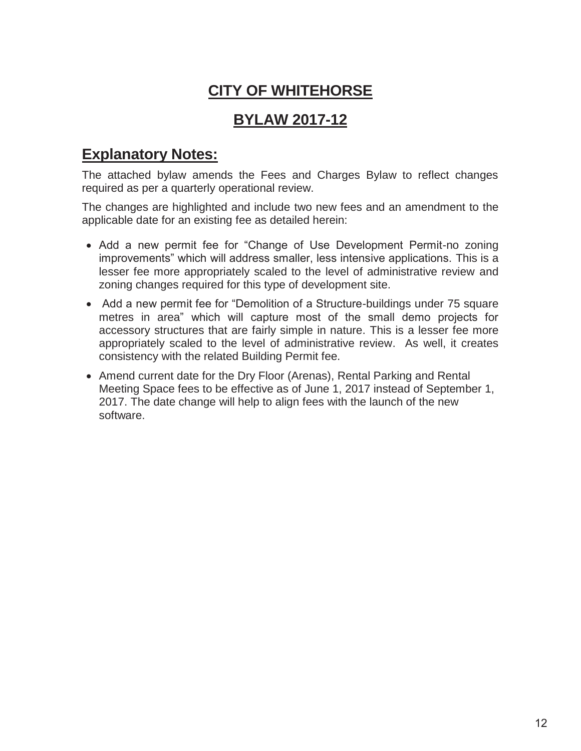# **CITY OF WHITEHORSE**

## **BYLAW 2017-12**

## **Explanatory Notes:**

The attached bylaw amends the Fees and Charges Bylaw to reflect changes required as per a quarterly operational review.

The changes are highlighted and include two new fees and an amendment to the applicable date for an existing fee as detailed herein:

- Add a new permit fee for "Change of Use Development Permit-no zoning improvements" which will address smaller, less intensive applications. This is a lesser fee more appropriately scaled to the level of administrative review and zoning changes required for this type of development site.
- Add a new permit fee for "Demolition of a Structure-buildings under 75 square metres in area" which will capture most of the small demo projects for accessory structures that are fairly simple in nature. This is a lesser fee more appropriately scaled to the level of administrative review. As well, it creates consistency with the related Building Permit fee.
- Amend current date for the Dry Floor (Arenas), Rental Parking and Rental Meeting Space fees to be effective as of June 1, 2017 instead of September 1, 2017. The date change will help to align fees with the launch of the new software.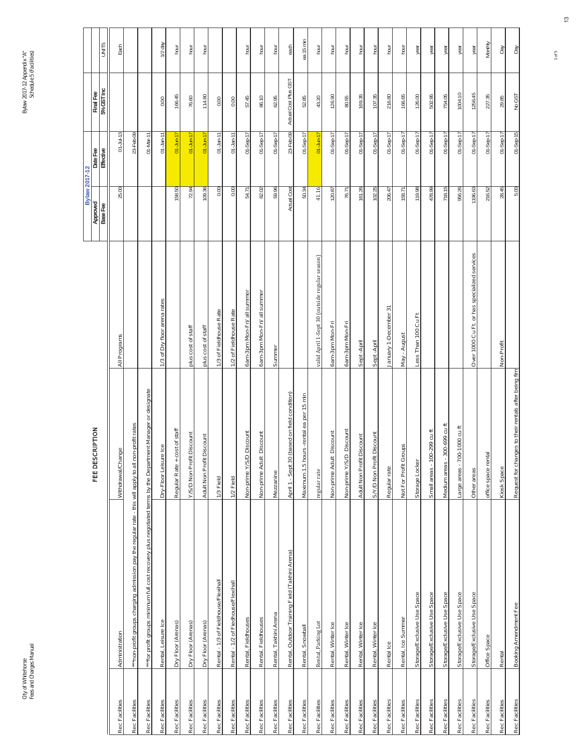|                |                                                                                                              |                                                       |                                                |                      | <b>Bylaw 2017-12</b>  |                         |              |
|----------------|--------------------------------------------------------------------------------------------------------------|-------------------------------------------------------|------------------------------------------------|----------------------|-----------------------|-------------------------|--------------|
|                |                                                                                                              | FEE DESCRIPTION                                       |                                                | Approved<br>Base Fee | Date Fee<br>Effective | 5% GST Inc<br>Final Fee | <b>UNITS</b> |
| Rec Facilities | Administration                                                                                               | Withdrawal/Change                                     | All Programs                                   | 25.00                | $01 - Jul - 13$       |                         | Each         |
| Rec Facilities | ***non-profit groups charging admission pay the regular rate - this will apply to all non-profit rates       |                                                       |                                                |                      | 23-Feb-09             |                         |              |
| Rec Facilities | ***for profit groups minimum full cost recovery plus negotiated terms by the Department Manager or designate |                                                       |                                                |                      | $01 - $ $Mar-11$      |                         |              |
| Rec Facilities | Rental, Leisure Ice                                                                                          | Dry-Floor Leisure Ice                                 | 1/3 of Dry floor arena rates                   |                      | $01$ -Jan-11          | 0.00                    | 1/2 day      |
| Rec Facilities | Dry Floor (Arenas)                                                                                           | Regular Rate + cost of staff                          |                                                | 158.50               | $01 - Jun-17$         | 166.45                  | hour         |
| Rec Facilities | Dry Floor (Arenas)                                                                                           | Discount<br><b>Y/S/D Non Profit</b>                   | plus cost of staff                             | 72.94                | $01 - Jun-17$         | 76.60                   | hour         |
| Rec Facilities | Dry Floor (Arenas)                                                                                           | Discount<br>Adult Non Profit                          | plus cost of staff                             | 109.36               | $01 - Jun-17$         | 114.80                  | hour         |
| Rec Facilities | Rental - 1/3 of Fieldhouse/Flexihall                                                                         | 1/3 Field                                             | 1/3 of Fieldhouse Rate                         | 0.00                 | $01$ -Jan-11          | $0.00\,$                |              |
| Rec Facilities | Rental - 1/2 of Fiedhouse/Flexihall                                                                          | 1/2 Field                                             | 1/2 of Fieldhouse Rate                         | 0.00                 | $01$ -Jan-11          | 0.00                    |              |
| Rec Facilities | Rental, Fieldhouses                                                                                          | Non-prime Y/S/D Discount                              | 6am-3pm Mon-Fri/ all summer                    | 54.71                | $01-Sep-17$           | 57.45                   | hour         |
| Rec Facilities | Rental, Fieldhouses                                                                                          | Discount<br>Non-prime Adult                           | 6am-3pm Mon-Fri/ all summer                    | 82.02                | $01-Sep-17$           | 86.10                   | hour         |
| Rec Facilities | Rental, Takhini Arena                                                                                        | Mezzanine                                             | Summer                                         | 59.96                | $01-Step-17$          | 62.95                   | hour         |
| Rec Facilities | Rental, Outdoor Training Field (Takhini Arena)                                                               | April 1 - Sept 30 (based on field condition)          |                                                | Actual Cost          | 23-Feb-09             | Actual Cost Plus GST    | each         |
| Rec Facilities | Rental, Snowball                                                                                             | Maximum 1.5 hours -rental ea per 15 min               |                                                | 50.34                | $01-Sep-17$           | 52.85                   | ea 15 min    |
| Rec Facilities | Rental, Parking Lot                                                                                          | regular rate                                          | valid April 1-Sept 30 (outside regular season) | 41.16                | $01$ -Jun-17          | 43.20                   | hour         |
| Rec Facilities | Rental, Winter Ice                                                                                           | Discount<br>Non-prime Adult                           | 6am-3pm Mon-Fri                                | 120.87               | $01-Step-17$          | 126.90                  | hour         |
| Rec Facilities | Rental, Winter Ice                                                                                           | Non-prime Y/S/D Discount                              | 6am-3pm Mon-Fri                                | 76.71                | $01-5ep-17$           | 80.55                   | hour         |
| Rec Facilities | Rental, Winter Ice                                                                                           | Discount<br>Adult Non Profit                          | Sept-April                                     | 161.26               | $01-Sep-17$           | 169.35                  | hour         |
| Rec Facilities | Rental, Winter Ice                                                                                           | Discount<br>S/Y/D Non Profit                          | Sept - April                                   | 102.25               | $01-Sep-17$           | 107.35                  | hour         |
| Rec Facilities | Rental Ice                                                                                                   | Regular rate                                          | January 1-December 31                          | 206.47               | $01-5ep-17$           | 216.80                  | hour         |
| Rec Facilities | Rental, Ice Summer                                                                                           | Not For Profit Groups                                 | May - August                                   | 158.71               | $01-Sep-17$           | 166.65                  | hour         |
| Rec Facilities | Storage/Exclusive Use Space                                                                                  | Storage Locker                                        | Less Than 100 Cu Ft                            | 119.98               | $01-Step-17$          | 126.00                  | year         |
| Rec Facilities | Storage/Exclusive Use Space                                                                                  | Small areas - 100-299 cu ft                           |                                                | 478.99               | $01-Step-17$          | 502.95                  | year         |
| Rec Facilities | Storage/Exclusive Use Space                                                                                  | 300-699 cu ft<br>Medium areas -                       |                                                | 718.15               | $01-Step-17$          | 754.05                  | year         |
| Rec Facilities | Storage/Exclusive Use Space                                                                                  | Large areas - 700-1000 cu ft                          |                                                | 956.26               | $01-Sep-17$           | 1004.10                 | year         |
| Rec Facilities | Storage/Exclusive Use Space                                                                                  | Other areas                                           | Over 1000 Cu Ft. or has specialized services   | 1196.63              | $01-$ Sep-17          | 1256.45                 | year         |
| Rec Facilities | Office Space                                                                                                 | office space rental                                   |                                                | 216.52               | $01-Sep-17$           | 227.35                  | Monthly      |
| Rec Facilities | Rental                                                                                                       | Kiosk Space                                           | Non-Profit                                     | 28.45                | $01-Sep-17$           | 29.85                   | Day          |
| Rec Facilities | Booking Amendment Fee                                                                                        | Request for changes to their rentals after being firm |                                                | 5.00                 | $01-Sep-15$           | No GST                  | Day          |

1 of 5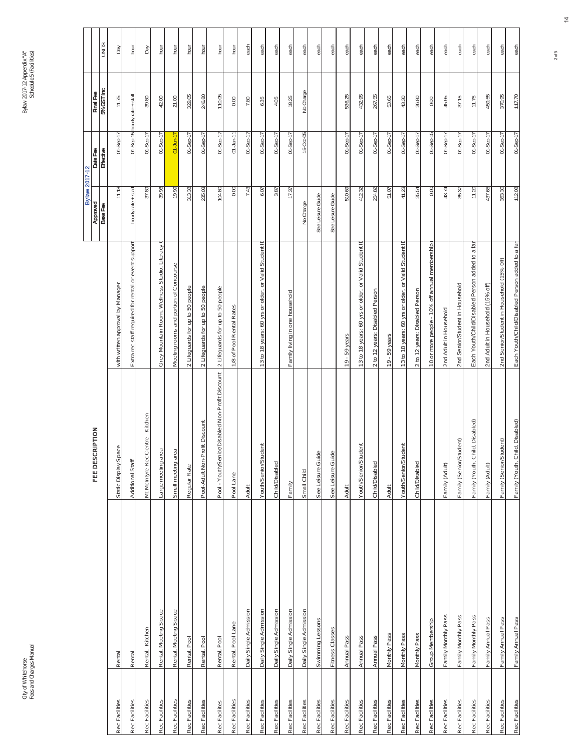|                |                        |                                                  |                                                         | <b>Bylaw 2017-12</b> |                       |                               |              |
|----------------|------------------------|--------------------------------------------------|---------------------------------------------------------|----------------------|-----------------------|-------------------------------|--------------|
|                |                        | FEE DESCRIPTION                                  |                                                         | Approved<br>Base Fee | Date Fee<br>Effective | 5% GST Inc<br>Final Fee       | <b>SLINN</b> |
| Rec Facilities | Rental                 | Static Display Space                             | with written approval by Manager                        | 11.18                | $01-Step-17$          | 11.75                         | Day          |
| Rec Facilities | Rental                 | Additional Staff                                 | Extra rec staff required for rental or event support    | hourly rate + staff  |                       | 01-Sep-15 hourly rate + staff | hour         |
| Rec Facilities | Rental, Kitchen        | Mt McIntyre Rec Centre - Kitchen                 |                                                         | 37.89                | $01-5ep-17$           | 39.80                         | Day          |
| Rec Facilities | Rental, Meeting Space  | Large meeting area                               | Grey Mountain Room, Wellness Studio, Literacy           | 39.98                | $01-Sep-17$           | 42.00                         | hour         |
| Rec Facilities | Rental, Meeting Space  | Small meeting area                               | Meeting rooms and portion of Concourse                  | 19.99                | $01 - Jun-17$         | 21.00                         | hour         |
| Rec Facilities | Rental, Pool           | Regular Rate                                     | 2 Lifeguards for up to 50 people                        | 313.38               | $O1-Sep-17$           | 329.05                        | hour         |
| Rec Facilities | Rental, Pool           | Pool-Adult Non-Profit Discount                   | 2 Lifeguards for up to 50 people                        | 235.03               | $01-Sep-17$           | 246.80                        | hour         |
| Rec Facilites  | Rental, Pool           | Pool - Youth/Senior/Disabled Non-Profit Discount | 2 Lifeguards for up to 50 people                        | 104.80               | $01-Step-17$          | 110.05                        | hour         |
| Rec Facilities | Rental, Pool Lane      | Pool Lane                                        | 1/8 of Pool Rental Rates                                | 0.00                 | $01$ -Jan-11          | 0.00                          | hour         |
| Rec Facilities | Daily Single Admission | Adult                                            |                                                         | 7.43                 | $01-$ Sep-17          | 7.80                          | each         |
| Rec Facilities | Daily Single Admission | Youth/Senior/Student                             | 13 to 18 years: 60 yrs or older, or Valid Student ID    | 6.07                 | $01-Step-17$          | 6.35                          | each         |
| Rec Facilities | Daily Single Admission | Child/Disabled                                   |                                                         | 3.87                 | $01-$ Sep-17          | 4.05                          | each         |
| Rec Facilities | Daily Single Admission | Family                                           | Family living in one household                          | 17.37                | $01-Sep-17$           | 18.25                         | each         |
| Rec Facilities | Daily Single Admission | Small Child                                      |                                                         | No Charge            | 15-Oct-05             | No Charge                     | each         |
| Rec Facilities | Swimming Lessons       | $\mathbb O$<br>See Leisure Guid                  |                                                         | See Leisure Guide    |                       |                               | each         |
| Rec Facilities | <b>Fitness Classes</b> | See Leisure Guide                                |                                                         | See Leisure Guide    |                       |                               | each         |
| Rec Facilities | <b>Annual Pass</b>     | <b>Adult</b>                                     | 19 - 59 years                                           | 510.69               | $01-5ep-17$           | 536.25                        | each         |
| Rec Facilities | Annual Pass            | Youth/Senior/Student                             | 13 to 18 years: 60 yrs or older, or Valid Student IL    | 412.32               | $01-$ Sep-17          | 432.95                        | each         |
| Rec Facilities | Annual Pass            | Child/Disabled                                   | 2 to 12 years: Disabled Person                          | 254.82               | $01-Sep-17$           | 267.55                        | each         |
| Rec Facilities | Monthly Pass           | <b>Adult</b>                                     | 19 - 59 years                                           | 51.07                | $01-Sep-17$           | 53.65                         | each         |
| Rec Facilities | Monthly Pass           | Youth/Senior/Student                             | or Valid Student ID<br>13 to 18 years: 60 yrs or older, | 41.23                | $01-5ep-17$           | 43.30                         | each         |
| Rec Facilities | Monthly Pass           | Child/Disabled                                   | 2 to 12 years: Disabled Person                          | 25.54                | $01-Step-17$          | 26.80                         | each         |
| Rec Facilities | Group Membership       |                                                  | 10 or more people - 10% off annual membership           | 0.00                 | $01-Sep-15$           | 0.00                          | each         |
| Rec Facilities | Family Monthly Pass    | Family (Adult)                                   | 2nd Adult in Household                                  | 43.74                | $01-Sep-17$           | 45.95                         | each         |
| Rec Facilities | Family Monthly Pass    | Family (Senior/Student)                          | 2nd Senior/Student in Household                         | 35.37                | $01-Step-17$          | 37.15                         | each         |
| Rec Facilities | Family Monthly Pass    | Family (Youth, Child, Disabled)                  | Each Youth/Child/Disabled Person added to a far         | 11.20                | $01-5ep-17$           | 11.75                         | each         |
| Rec Facilities | Family Annual Pass     | Family (Adult)                                   | 2nd Adult in Household (15% off)                        | 437.65               | 01-Sep-17             | 459.55                        | each         |
| Rec Facilities | Family Annual Pass     | Family (Senior/Student)                          | 2nd Senior/Student in Household (15% 0ff)               | 353.30               | $01-$ Sep-17          | 370.95                        | each         |
| Rec Facilities | Family Annual Pass     | Family (Youth, Child, Disabled)                  | Each Youth/Child/Disabled Person added to a fan         | 112.08               | $01-5ep-17$           | 117.70                        | each         |

2 of 5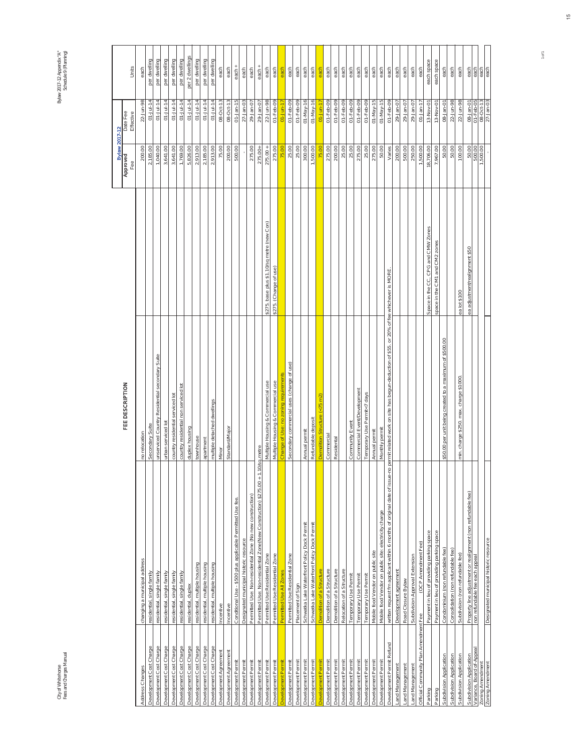City of Whitehorse<br>Fees and Charges Manual Fees and Charges Manual City of Whitehorse

Bylaw 2017-12 Appendix "A"<br>Schedule 9 (Planning) Schedule 9 (Planning) Bylaw 2017-12 Appendix "A"

|                                               |                                                                           |                                                                                          |                                            | <b>Bylaw 2017-12</b> |                        |                 |
|-----------------------------------------------|---------------------------------------------------------------------------|------------------------------------------------------------------------------------------|--------------------------------------------|----------------------|------------------------|-----------------|
|                                               |                                                                           | FEE DESCRIPTION                                                                          |                                            | Approved<br>Fee      | Date Fee<br>Effective  | Units           |
| Address Changes                               | changing a municipal address                                              | no relocation                                                                            |                                            | 200.00               | 22-Jun-98              | each            |
| Development Cost Charge                       | residential, single family                                                | Secondary Suite                                                                          |                                            | 2,185.00             | $01 -$ Jul-14          | per dwelling    |
| Development Cost Charge                       | residential, single family                                                | unserviced Country Residential secondary Suite                                           |                                            | 1,040.00             | $01 -$ Jul-14          | per dwelling    |
| Development Cost Charge                       | residential, single family                                                | urban serviced lot                                                                       |                                            | 3,641.00             | $01 -$ Jul-14          | per dwelling    |
| Development Cost Charge                       | residential, single family                                                | country residential serviced lot                                                         |                                            | 3,641.00             | $01 -$ Jul-14          | per dwelling    |
| Development Cost Charge                       | residential, single family                                                | country residential non serviced lot                                                     |                                            | 1,769.00             | $01 -$ Jul-14          | per dwelling    |
| Development Cost Charge                       | residential, duplex                                                       | duplex housing                                                                           |                                            | 5,826.00             | $01 -$ Jul-14          | per 2 dwellings |
| Development Cost Charge                       | residential, multiple housing                                             | townhouse                                                                                |                                            | 2,913.00             | $01 - Jul - 14$        | per dwelling    |
| Development Cost Charge                       | residential, multiple housing                                             | apartment                                                                                |                                            | 2,185.00             | $01 -$ Jul-14          | per dwelling    |
| Development Cost Charge                       | residential, multiple housing                                             | multiple detached dwellings                                                              |                                            | 2,913.00             | $01 -$ Jul-14          | per dwelling    |
| Development Agreement                         | Incentive                                                                 | Minor                                                                                    |                                            | 75.00                | 08-Oct-13              | each            |
| Development Agreement                         | Incentive                                                                 | Standard/Major                                                                           |                                            | 200.00               | 08-Oct-13              | each            |
| Development Permit                            | Conditional Use - \$500 plus applicable Permitted Use fee.                |                                                                                          |                                            | 500.00               | $01$ -Jan-15           | $each +$        |
| Development Permi                             | Designated municipal historic resource                                    |                                                                                          |                                            |                      | $27-$ Jan-03           | each            |
| Development Permit                            | Permitted Use: Non-residential Zone (No new construction)                 |                                                                                          |                                            | 275.00               | 29-Jan-07              | each            |
| Development Permit                            | Permitted Use: Non-residential Zone(New Construction) \$275.00 + 1.10     | sq.metre                                                                                 |                                            | $275.00 +$           | 29-Jan-07              | $each +$        |
| Development Permit                            | Permitted Use: Residential Zone                                           | Multiple Housing & Commercial use                                                        | \$275. base plus \$1.10/sq metre (new Con) | $275.00 +$           | 22-Jun-98              | each            |
| Development Permit                            | Permitted Use: Residential Zone                                           | Multiple Housing & Commercial use                                                        | \$275. (Change of use)                     | 275.00               | $01 - Feb - 09$        | each            |
| evelopment Permit                             | Permitted Use All Zones                                                   | Change of Use: no zoning requirements                                                    |                                            | 75.00                | $01 - Jun-17$          | each            |
| Development Permit                            | Permitted Use: Residential Zone                                           | Secondary commercial uses (change of use)                                                |                                            | 25.00                | $01 - Feb - 09$        | each            |
| Development Permit                            | Placement of Sign                                                         |                                                                                          |                                            | 25.00                | $01 - Feb - 09$        | each            |
| Development Permit                            | Schwatka Lake Waterfront Policy Dock Permit                               | Annual permit                                                                            |                                            | 300.00               | $01$ -May-16           | each            |
| Development Permit                            | Schwatka Lake Waterfront Policy Dock Permit                               | Refundable deposit                                                                       |                                            | 1,500.00             | $01$ -May-16           | each            |
| Jevelopment Permi                             | Demolition of a Structure                                                 | Demolition Structure (<75 m2)                                                            |                                            |                      | $01 - Jun-1$           | each            |
| Development Permit                            | Demolition of a Structure                                                 | Commercial                                                                               |                                            | 275.00               | $O1 - Feb - O9$        | each            |
| Development Permit                            | Demolition of a Structure                                                 | Residental                                                                               |                                            | 200.00               | $O1 - Feb - O9$        | each            |
| Development Permit                            | Relocation of a Structure                                                 |                                                                                          |                                            | 25.00                | $01 - Feb - 09$        | each            |
| Development Permit                            | Temporary Use Permit                                                      | Community Event                                                                          |                                            | 25.00                | $01 - Feb - 09$        | each            |
| Development Permit                            | Temporary Use Permit                                                      | Commercial Event/Development                                                             |                                            | 275.00               | $01 - Feb - 09$        | each            |
| Development Permit                            | Temporary Use Permit                                                      | Temporary Use Permit<7 days                                                              |                                            | 25.00                | $O1 - Feb - O9$        | each            |
| Development Permit                            | Mobile food Vendor on public site                                         | Annual permit                                                                            |                                            | 275.00               | $01 - Max - 15$        | each            |
| Development Permi                             | Mobile food Vendor on public site: electricity charge                     | Monthly permit                                                                           |                                            | 50.00                | $01$ -May-15           | each            |
| Refund<br>Development Permit                  | written request fm applicant within 6 months of original date of issue-no | permit related work on site has begun-deduction of \$55. or 20% of fee whichever is MORE |                                            | Varies               | 01-Feb-09              | each            |
| and Management                                | Development agreement                                                     |                                                                                          |                                            | 200.00               | 29-Jan-07              | each            |
| Land Management                               | Road Closure Bylaw                                                        |                                                                                          |                                            | 500.00               | 29-Jan-07              | each            |
| and Management                                | Subdivision Approval Extension                                            |                                                                                          |                                            | 250.00               | 29-Jan-07              | each            |
| Official Community Plan Amendment Fee         | (OCP Amendment Fee)                                                       |                                                                                          |                                            | 1,500.00             | $01$ -Jan-17           | each            |
| Parking                                       | Payment in lieu of providing parking space                                |                                                                                          | Space in the CC, CPG and CMW Zones         | 18,706.00            | 13-Nov-01              | each space      |
| Parking                                       | Payment in lieu of providing parking space                                |                                                                                          | space in the CM1 and CM2 zones             | 7,967.00             | 13-Nov-01              | each space      |
| Subdivision Application                       | Condominium (non refundable fee)                                          | \$50.00 per unit being created to a maximum of \$500.00                                  |                                            | 50.00                | 08-Jan-01              | each            |
| Subdivision Application                       | Consolidation (non refundable fee)                                        |                                                                                          |                                            | 50.00                | 22-Jun-98              | each            |
| Subdivision Application                       | Subdivision (non refundable fee)                                          | min. charge \$250. max. charge \$1000.                                                   | ea lot \$100                               | 100.00               | 22-Jun-98              | each            |
| Subdivision Application                       | Property line adjustment or realignment (non refundable fee)              |                                                                                          | ea adjustment/realignment \$50             | 50.00                | 08-Jan-01              | each            |
| Variance, Board of-Appeal<br>Zoning Amendment | non refundable fee each appeal                                            |                                                                                          |                                            | 500.00<br>1,500.00   | 01-Feb-05<br>08-Oct-13 | each<br>each    |
| Zoning Amendment                              |                                                                           |                                                                                          |                                            |                      |                        | each            |
|                                               | Designated municipal historic resource                                    |                                                                                          |                                            |                      | $27-$ Jan $-03$        |                 |

1 of 1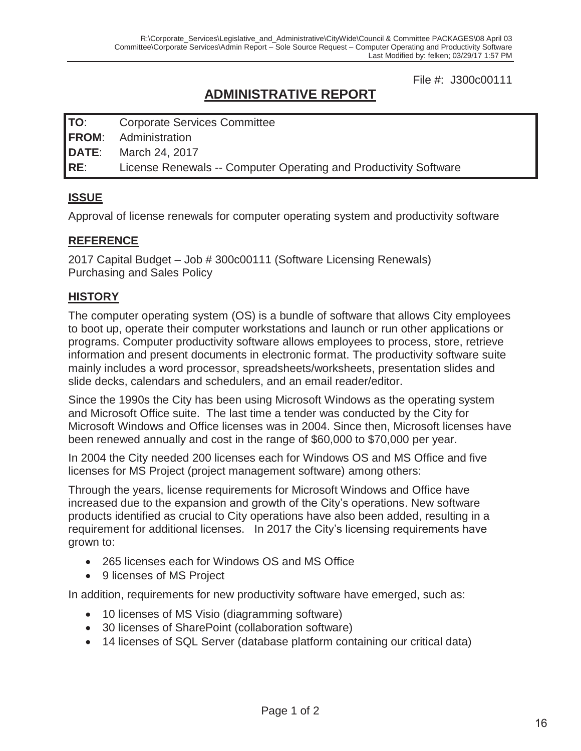File #: J300c00111

## **ADMINISTRATIVE REPORT**

**TO**: Corporate Services Committee **FROM**: Administration **DATE**: March 24, 2017 **RE**: License Renewals -- Computer Operating and Productivity Software

## **ISSUE**

Approval of license renewals for computer operating system and productivity software

#### **REFERENCE**

2017 Capital Budget – Job # 300c00111 (Software Licensing Renewals) Purchasing and Sales Policy

#### **HISTORY**

The computer operating system (OS) is a bundle of software that allows City employees to boot up, operate their computer workstations and launch or run other applications or programs. Computer productivity software allows employees to process, store, retrieve information and present documents in electronic format. The productivity software suite mainly includes a word processor, spreadsheets/worksheets, presentation slides and slide decks, calendars and schedulers, and an email reader/editor.

Since the 1990s the City has been using Microsoft Windows as the operating system and Microsoft Office suite. The last time a tender was conducted by the City for Microsoft Windows and Office licenses was in 2004. Since then, Microsoft licenses have been renewed annually and cost in the range of \$60,000 to \$70,000 per year.

In 2004 the City needed 200 licenses each for Windows OS and MS Office and five licenses for MS Project (project management software) among others:

Through the years, license requirements for Microsoft Windows and Office have increased due to the expansion and growth of the City's operations. New software products identified as crucial to City operations have also been added, resulting in a requirement for additional licenses. In 2017 the City's licensing requirements have grown to:

- 265 licenses each for Windows OS and MS Office
- 9 licenses of MS Project

In addition, requirements for new productivity software have emerged, such as:

- 10 licenses of MS Visio (diagramming software)
- 30 licenses of SharePoint (collaboration software)
- 14 licenses of SQL Server (database platform containing our critical data)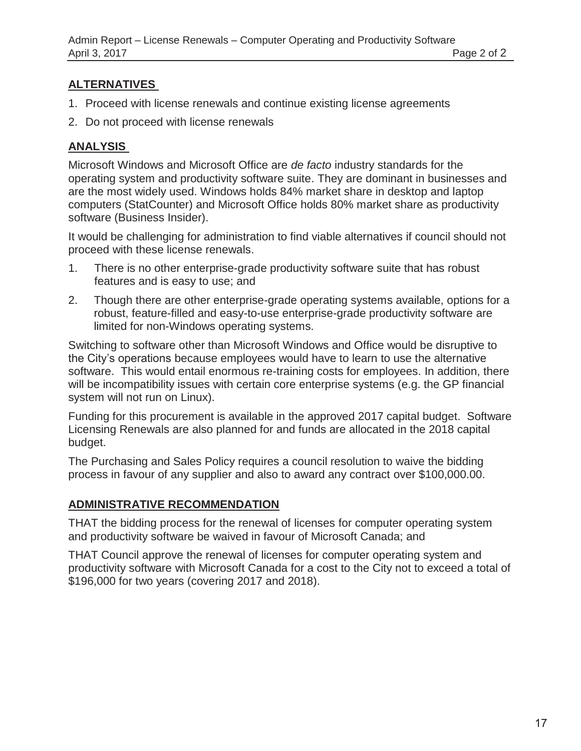### **ALTERNATIVES**

- 1. Proceed with license renewals and continue existing license agreements
- 2. Do not proceed with license renewals

## **ANALYSIS**

Microsoft Windows and Microsoft Office are *de facto* industry standards for the operating system and productivity software suite. They are dominant in businesses and are the most widely used. Windows holds 84% market share in desktop and laptop computers (StatCounter) and Microsoft Office holds 80% market share as productivity software (Business Insider).

It would be challenging for administration to find viable alternatives if council should not proceed with these license renewals.

- 1. There is no other enterprise-grade productivity software suite that has robust features and is easy to use; and
- 2. Though there are other enterprise-grade operating systems available, options for a robust, feature-filled and easy-to-use enterprise-grade productivity software are limited for non-Windows operating systems.

Switching to software other than Microsoft Windows and Office would be disruptive to the City's operations because employees would have to learn to use the alternative software. This would entail enormous re-training costs for employees. In addition, there will be incompatibility issues with certain core enterprise systems (e.g. the GP financial system will not run on Linux).

Funding for this procurement is available in the approved 2017 capital budget. Software Licensing Renewals are also planned for and funds are allocated in the 2018 capital budget.

The Purchasing and Sales Policy requires a council resolution to waive the bidding process in favour of any supplier and also to award any contract over \$100,000.00.

## **ADMINISTRATIVE RECOMMENDATION**

THAT the bidding process for the renewal of licenses for computer operating system and productivity software be waived in favour of Microsoft Canada; and

THAT Council approve the renewal of licenses for computer operating system and productivity software with Microsoft Canada for a cost to the City not to exceed a total of \$196,000 for two years (covering 2017 and 2018).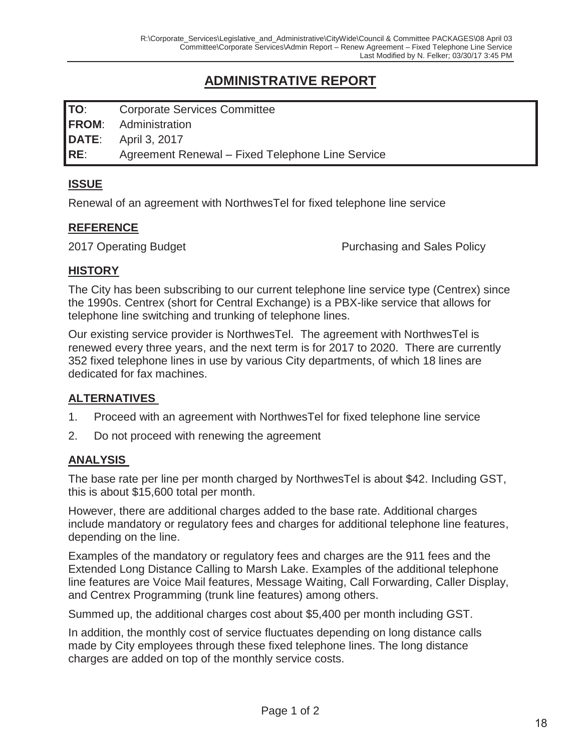## **ADMINISTRATIVE REPORT**

**TO**: Corporate Services Committee **FROM**: Administration **DATE**: April 3, 2017 **RE**: Agreement Renewal – Fixed Telephone Line Service

#### **ISSUE**

Renewal of an agreement with NorthwesTel for fixed telephone line service

#### **REFERENCE**

2017 Operating Budget **Purchasing and Sales Policy** 

#### **HISTORY**

The City has been subscribing to our current telephone line service type (Centrex) since the 1990s. Centrex (short for Central Exchange) is a PBX-like service that allows for telephone line switching and trunking of telephone lines.

Our existing service provider is NorthwesTel. The agreement with NorthwesTel is renewed every three years, and the next term is for 2017 to 2020. There are currently 352 fixed telephone lines in use by various City departments, of which 18 lines are dedicated for fax machines.

## **ALTERNATIVES**

- 1. Proceed with an agreement with NorthwesTel for fixed telephone line service
- 2. Do not proceed with renewing the agreement

## **ANALYSIS**

The base rate per line per month charged by NorthwesTel is about \$42. Including GST, this is about \$15,600 total per month.

However, there are additional charges added to the base rate. Additional charges include mandatory or regulatory fees and charges for additional telephone line features, depending on the line.

Examples of the mandatory or regulatory fees and charges are the 911 fees and the Extended Long Distance Calling to Marsh Lake. Examples of the additional telephone line features are Voice Mail features, Message Waiting, Call Forwarding, Caller Display, and Centrex Programming (trunk line features) among others.

Summed up, the additional charges cost about \$5,400 per month including GST.

In addition, the monthly cost of service fluctuates depending on long distance calls made by City employees through these fixed telephone lines. The long distance charges are added on top of the monthly service costs.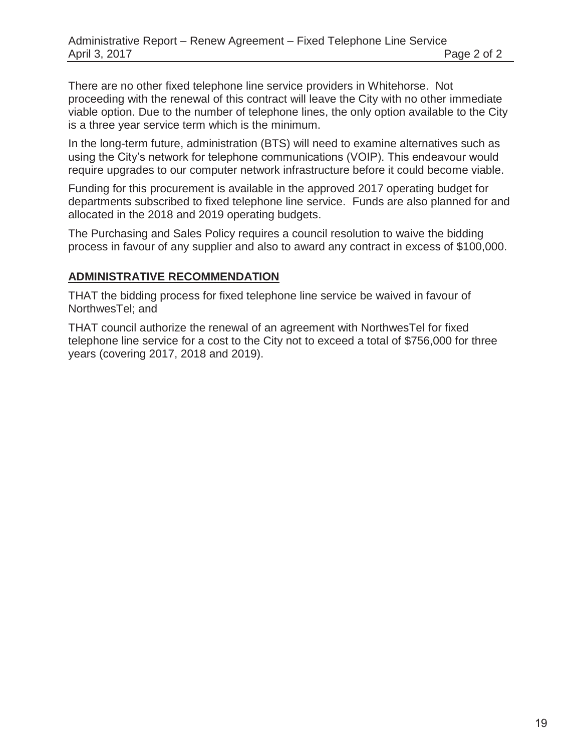There are no other fixed telephone line service providers in Whitehorse. Not proceeding with the renewal of this contract will leave the City with no other immediate viable option. Due to the number of telephone lines, the only option available to the City is a three year service term which is the minimum.

In the long-term future, administration (BTS) will need to examine alternatives such as using the City's network for telephone communications (VOIP). This endeavour would require upgrades to our computer network infrastructure before it could become viable.

Funding for this procurement is available in the approved 2017 operating budget for departments subscribed to fixed telephone line service. Funds are also planned for and allocated in the 2018 and 2019 operating budgets.

The Purchasing and Sales Policy requires a council resolution to waive the bidding process in favour of any supplier and also to award any contract in excess of \$100,000.

#### **ADMINISTRATIVE RECOMMENDATION**

THAT the bidding process for fixed telephone line service be waived in favour of NorthwesTel; and

THAT council authorize the renewal of an agreement with NorthwesTel for fixed telephone line service for a cost to the City not to exceed a total of \$756,000 for three years (covering 2017, 2018 and 2019).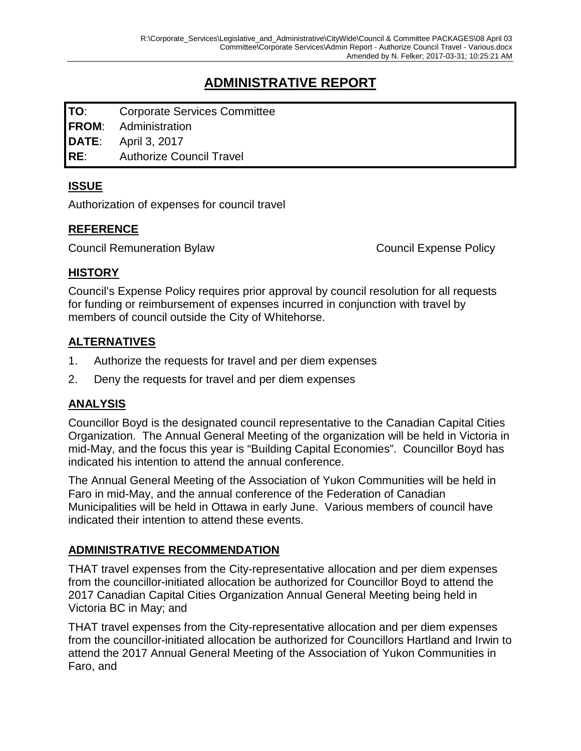## **ADMINISTRATIVE REPORT**

**TO**: Corporate Services Committee **FROM**: Administration **DATE**: April 3, 2017 **RE**: Authorize Council Travel

#### **ISSUE**

Authorization of expenses for council travel

#### **REFERENCE**

Council Remuneration Bylaw Council Expense Policy

#### **HISTORY**

Council's Expense Policy requires prior approval by council resolution for all requests for funding or reimbursement of expenses incurred in conjunction with travel by members of council outside the City of Whitehorse.

#### **ALTERNATIVES**

- 1. Authorize the requests for travel and per diem expenses
- 2. Deny the requests for travel and per diem expenses

#### **ANALYSIS**

Councillor Boyd is the designated council representative to the Canadian Capital Cities Organization. The Annual General Meeting of the organization will be held in Victoria in mid-May, and the focus this year is "Building Capital Economies". Councillor Boyd has indicated his intention to attend the annual conference.

The Annual General Meeting of the Association of Yukon Communities will be held in Faro in mid-May, and the annual conference of the Federation of Canadian Municipalities will be held in Ottawa in early June. Various members of council have indicated their intention to attend these events.

#### **ADMINISTRATIVE RECOMMENDATION**

THAT travel expenses from the City-representative allocation and per diem expenses from the councillor-initiated allocation be authorized for Councillor Boyd to attend the 2017 Canadian Capital Cities Organization Annual General Meeting being held in Victoria BC in May; and

THAT travel expenses from the City-representative allocation and per diem expenses from the councillor-initiated allocation be authorized for Councillors Hartland and Irwin to attend the 2017 Annual General Meeting of the Association of Yukon Communities in Faro, and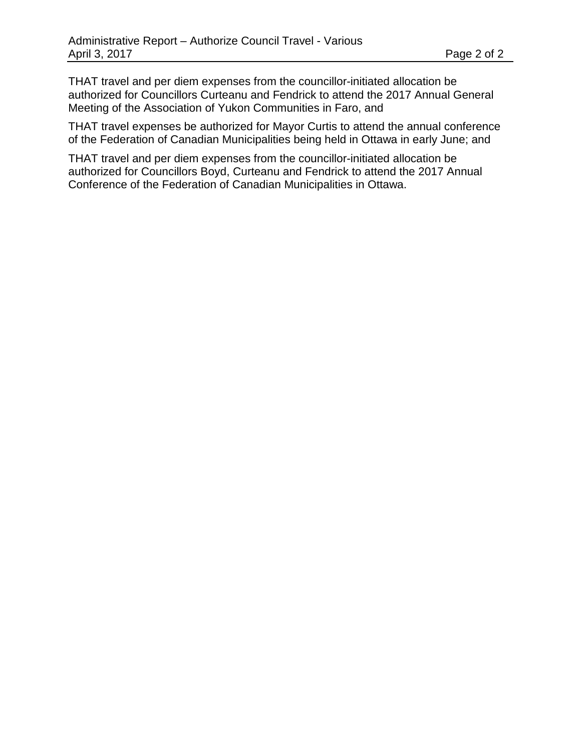THAT travel and per diem expenses from the councillor-initiated allocation be authorized for Councillors Curteanu and Fendrick to attend the 2017 Annual General Meeting of the Association of Yukon Communities in Faro, and

THAT travel expenses be authorized for Mayor Curtis to attend the annual conference of the Federation of Canadian Municipalities being held in Ottawa in early June; and

THAT travel and per diem expenses from the councillor-initiated allocation be authorized for Councillors Boyd, Curteanu and Fendrick to attend the 2017 Annual Conference of the Federation of Canadian Municipalities in Ottawa.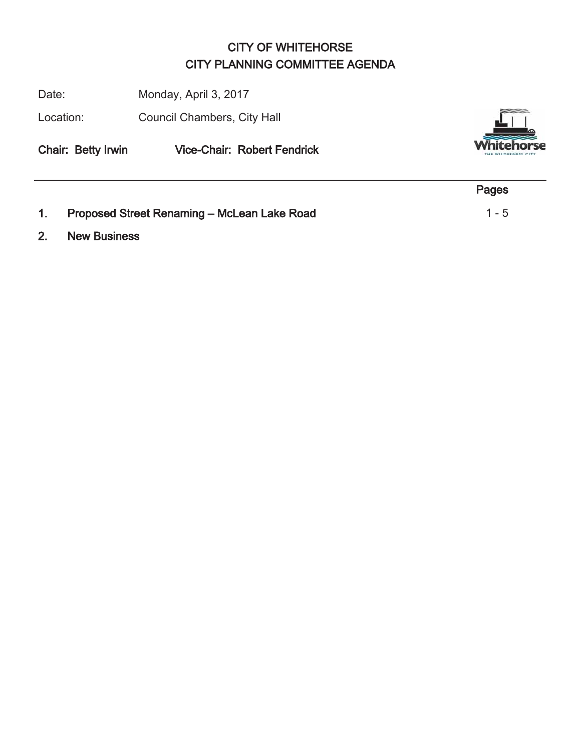## CITY OF WHITEHORSE CITY PLANNING COMMITTEE AGENDA

Date: Monday, April 3, 2017

Location: Council Chambers, City Hall

Chair: Betty Irwin Vice-Chair: Robert Fendrick



- Pages 1. Proposed Street Renaming – McLean Lake Road 1 - 5
- 2. New Business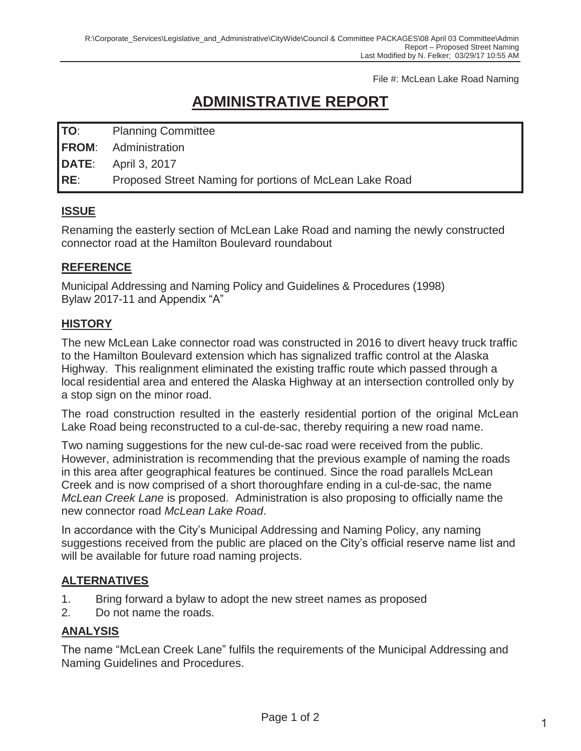File #: McLean Lake Road Naming

# **ADMINISTRATIVE REPORT**

| <b>Planning Committee</b><br>TO: |  |
|----------------------------------|--|
|----------------------------------|--|

**FROM**: Administration

**DATE**: April 3, 2017

**RE**: Proposed Street Naming for portions of McLean Lake Road

## **ISSUE**

Renaming the easterly section of McLean Lake Road and naming the newly constructed connector road at the Hamilton Boulevard roundabout

#### **REFERENCE**

Municipal Addressing and Naming Policy and Guidelines & Procedures (1998) Bylaw 2017-11 and Appendix "A"

#### **HISTORY**

The new McLean Lake connector road was constructed in 2016 to divert heavy truck traffic to the Hamilton Boulevard extension which has signalized traffic control at the Alaska Highway. This realignment eliminated the existing traffic route which passed through a local residential area and entered the Alaska Highway at an intersection controlled only by a stop sign on the minor road.

The road construction resulted in the easterly residential portion of the original McLean Lake Road being reconstructed to a cul-de-sac, thereby requiring a new road name.

Two naming suggestions for the new cul-de-sac road were received from the public. However, administration is recommending that the previous example of naming the roads in this area after geographical features be continued. Since the road parallels McLean Creek and is now comprised of a short thoroughfare ending in a cul-de-sac, the name *McLean Creek Lane* is proposed. Administration is also proposing to officially name the new connector road *McLean Lake Road*.

In accordance with the City's Municipal Addressing and Naming Policy, any naming suggestions received from the public are placed on the City's official reserve name list and will be available for future road naming projects.

## **ALTERNATIVES**

- 1. Bring forward a bylaw to adopt the new street names as proposed
- 2. Do not name the roads.

#### **ANALYSIS**

The name "McLean Creek Lane" fulfils the requirements of the Municipal Addressing and Naming Guidelines and Procedures.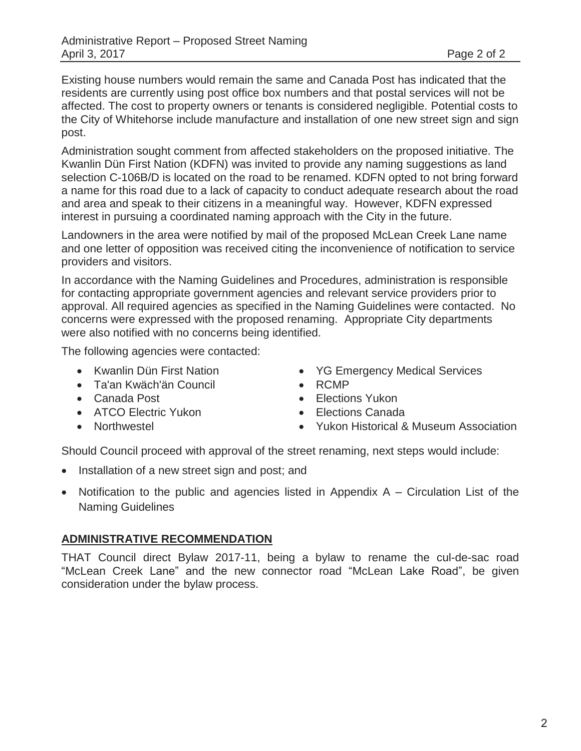Existing house numbers would remain the same and Canada Post has indicated that the residents are currently using post office box numbers and that postal services will not be affected. The cost to property owners or tenants is considered negligible. Potential costs to the City of Whitehorse include manufacture and installation of one new street sign and sign post.

Administration sought comment from affected stakeholders on the proposed initiative. The Kwanlin Dün First Nation (KDFN) was invited to provide any naming suggestions as land selection C-106B/D is located on the road to be renamed. KDFN opted to not bring forward a name for this road due to a lack of capacity to conduct adequate research about the road and area and speak to their citizens in a meaningful way. However, KDFN expressed interest in pursuing a coordinated naming approach with the City in the future.

Landowners in the area were notified by mail of the proposed McLean Creek Lane name and one letter of opposition was received citing the inconvenience of notification to service providers and visitors.

In accordance with the Naming Guidelines and Procedures, administration is responsible for contacting appropriate government agencies and relevant service providers prior to approval. All required agencies as specified in the Naming Guidelines were contacted. No concerns were expressed with the proposed renaming. Appropriate City departments were also notified with no concerns being identified.

The following agencies were contacted:

- Kwanlin Dün First Nation
- Ta'an Kwäch'än Council
- Canada Post
- ATCO Electric Yukon
- Northwestel
- YG Emergency Medical Services
- $\bullet$  RCMP
- Elections Yukon
- Elections Canada
- Yukon Historical & Museum Association

Should Council proceed with approval of the street renaming, next steps would include:

- Installation of a new street sign and post; and
- Notification to the public and agencies listed in Appendix  $A -$  Circulation List of the Naming Guidelines

#### **ADMINISTRATIVE RECOMMENDATION**

THAT Council direct Bylaw 2017-11, being a bylaw to rename the cul-de-sac road "McLean Creek Lane" and the new connector road "McLean Lake Road", be given consideration under the bylaw process.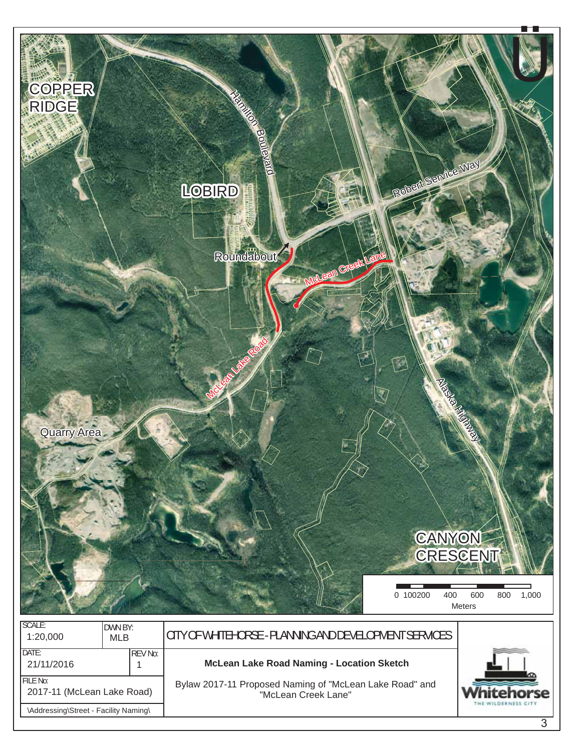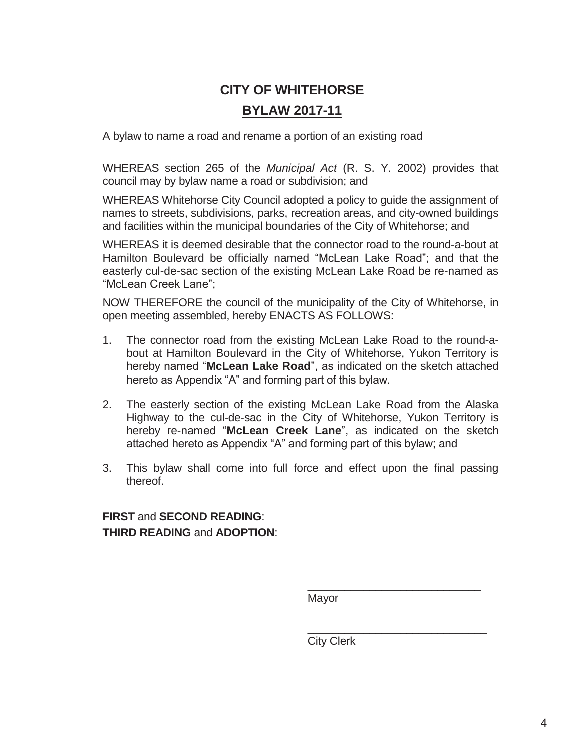# **CITY OF WHITEHORSE BYLAW 2017-11**

A bylaw to name a road and rename a portion of an existing road

WHEREAS section 265 of the *Municipal Act* (R. S. Y. 2002) provides that council may by bylaw name a road or subdivision; and

WHEREAS Whitehorse City Council adopted a policy to guide the assignment of names to streets, subdivisions, parks, recreation areas, and city-owned buildings and facilities within the municipal boundaries of the City of Whitehorse; and

WHEREAS it is deemed desirable that the connector road to the round-a-bout at Hamilton Boulevard be officially named "McLean Lake Road"; and that the easterly cul-de-sac section of the existing McLean Lake Road be re-named as "McLean Creek Lane";

NOW THEREFORE the council of the municipality of the City of Whitehorse, in open meeting assembled, hereby ENACTS AS FOLLOWS:

- 1. The connector road from the existing McLean Lake Road to the round-about at Hamilton Boulevard in the City of Whitehorse, Yukon Territory is hereby named "**McLean Lake Road**", as indicated on the sketch attached hereto as Appendix "A" and forming part of this bylaw.
- 2. The easterly section of the existing McLean Lake Road from the Alaska Highway to the cul-de-sac in the City of Whitehorse, Yukon Territory is hereby re-named "**McLean Creek Lane**", as indicated on the sketch attached hereto as Appendix "A" and forming part of this bylaw; and
- 3. This bylaw shall come into full force and effect upon the final passing thereof.

**FIRST** and **SECOND READING**: **THIRD READING** and **ADOPTION**:

Mayor

\_\_\_\_\_\_\_\_\_\_\_\_\_\_\_\_\_\_\_\_\_\_\_\_\_\_\_\_

\_\_\_\_\_\_\_\_\_\_\_\_\_\_\_\_\_\_\_\_\_\_\_\_\_\_\_\_\_

City Clerk